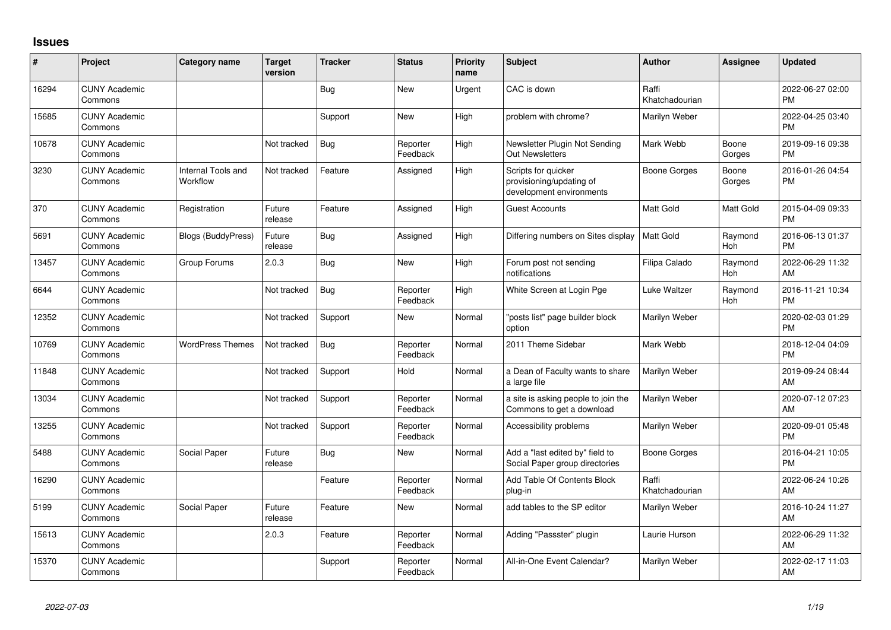## **Issues**

| #     | Project                         | Category name                         | <b>Target</b><br>version | <b>Tracker</b> | <b>Status</b>        | <b>Priority</b><br>name | <b>Subject</b>                                                              | <b>Author</b>           | <b>Assignee</b> | <b>Updated</b>                |
|-------|---------------------------------|---------------------------------------|--------------------------|----------------|----------------------|-------------------------|-----------------------------------------------------------------------------|-------------------------|-----------------|-------------------------------|
| 16294 | <b>CUNY Academic</b><br>Commons |                                       |                          | Bug            | <b>New</b>           | Urgent                  | CAC is down                                                                 | Raffi<br>Khatchadourian |                 | 2022-06-27 02:00<br><b>PM</b> |
| 15685 | <b>CUNY Academic</b><br>Commons |                                       |                          | Support        | <b>New</b>           | High                    | problem with chrome?                                                        | Marilyn Weber           |                 | 2022-04-25 03:40<br><b>PM</b> |
| 10678 | <b>CUNY Academic</b><br>Commons |                                       | Not tracked              | Bug            | Reporter<br>Feedback | High                    | Newsletter Plugin Not Sending<br><b>Out Newsletters</b>                     | Mark Webb               | Boone<br>Gorges | 2019-09-16 09:38<br><b>PM</b> |
| 3230  | <b>CUNY Academic</b><br>Commons | <b>Internal Tools and</b><br>Workflow | Not tracked              | Feature        | Assigned             | High                    | Scripts for quicker<br>provisioning/updating of<br>development environments | <b>Boone Gorges</b>     | Boone<br>Gorges | 2016-01-26 04:54<br><b>PM</b> |
| 370   | <b>CUNY Academic</b><br>Commons | Registration                          | Future<br>release        | Feature        | Assigned             | High                    | <b>Guest Accounts</b>                                                       | <b>Matt Gold</b>        | Matt Gold       | 2015-04-09 09:33<br><b>PM</b> |
| 5691  | <b>CUNY Academic</b><br>Commons | <b>Blogs (BuddyPress)</b>             | Future<br>release        | Bug            | Assigned             | High                    | Differing numbers on Sites display                                          | <b>Matt Gold</b>        | Raymond<br>Hoh  | 2016-06-13 01:37<br><b>PM</b> |
| 13457 | <b>CUNY Academic</b><br>Commons | Group Forums                          | 2.0.3                    | Bug            | <b>New</b>           | High                    | Forum post not sending<br>notifications                                     | Filipa Calado           | Raymond<br>Hoh  | 2022-06-29 11:32<br>AM        |
| 6644  | <b>CUNY Academic</b><br>Commons |                                       | Not tracked              | <b>Bug</b>     | Reporter<br>Feedback | High                    | White Screen at Login Pge                                                   | Luke Waltzer            | Raymond<br>Hoh  | 2016-11-21 10:34<br><b>PM</b> |
| 12352 | <b>CUNY Academic</b><br>Commons |                                       | Not tracked              | Support        | <b>New</b>           | Normal                  | "posts list" page builder block<br>option                                   | Marilyn Weber           |                 | 2020-02-03 01:29<br><b>PM</b> |
| 10769 | <b>CUNY Academic</b><br>Commons | <b>WordPress Themes</b>               | Not tracked              | Bug            | Reporter<br>Feedback | Normal                  | 2011 Theme Sidebar                                                          | Mark Webb               |                 | 2018-12-04 04:09<br><b>PM</b> |
| 11848 | <b>CUNY Academic</b><br>Commons |                                       | Not tracked              | Support        | Hold                 | Normal                  | a Dean of Faculty wants to share<br>a large file                            | Marilyn Weber           |                 | 2019-09-24 08:44<br>AM        |
| 13034 | <b>CUNY Academic</b><br>Commons |                                       | Not tracked              | Support        | Reporter<br>Feedback | Normal                  | a site is asking people to join the<br>Commons to get a download            | Marilyn Weber           |                 | 2020-07-12 07:23<br>AM        |
| 13255 | <b>CUNY Academic</b><br>Commons |                                       | Not tracked              | Support        | Reporter<br>Feedback | Normal                  | Accessibility problems                                                      | Marilyn Weber           |                 | 2020-09-01 05:48<br><b>PM</b> |
| 5488  | <b>CUNY Academic</b><br>Commons | Social Paper                          | Future<br>release        | <b>Bug</b>     | <b>New</b>           | Normal                  | Add a "last edited by" field to<br>Social Paper group directories           | <b>Boone Gorges</b>     |                 | 2016-04-21 10:05<br><b>PM</b> |
| 16290 | <b>CUNY Academic</b><br>Commons |                                       |                          | Feature        | Reporter<br>Feedback | Normal                  | Add Table Of Contents Block<br>plug-in                                      | Raffi<br>Khatchadourian |                 | 2022-06-24 10:26<br>AM        |
| 5199  | <b>CUNY Academic</b><br>Commons | Social Paper                          | Future<br>release        | Feature        | <b>New</b>           | Normal                  | add tables to the SP editor                                                 | Marilyn Weber           |                 | 2016-10-24 11:27<br>AM        |
| 15613 | <b>CUNY Academic</b><br>Commons |                                       | 2.0.3                    | Feature        | Reporter<br>Feedback | Normal                  | Adding "Passster" plugin                                                    | Laurie Hurson           |                 | 2022-06-29 11:32<br>AM        |
| 15370 | <b>CUNY Academic</b><br>Commons |                                       |                          | Support        | Reporter<br>Feedback | Normal                  | All-in-One Event Calendar?                                                  | Marilyn Weber           |                 | 2022-02-17 11:03<br>AM        |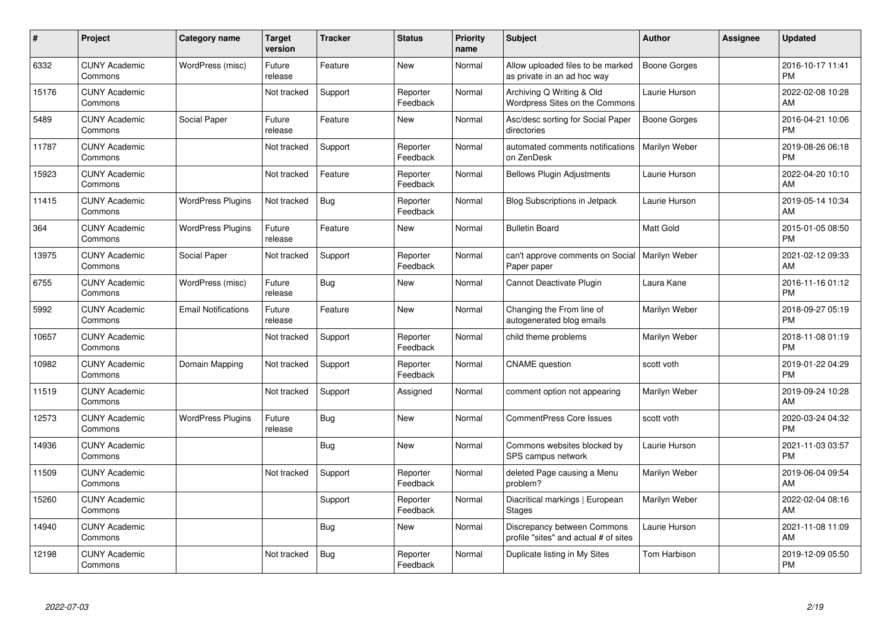| #     | Project                         | <b>Category name</b>       | <b>Target</b><br>version | <b>Tracker</b> | <b>Status</b>        | <b>Priority</b><br>name | <b>Subject</b>                                                       | <b>Author</b>        | <b>Assignee</b> | <b>Updated</b>                |
|-------|---------------------------------|----------------------------|--------------------------|----------------|----------------------|-------------------------|----------------------------------------------------------------------|----------------------|-----------------|-------------------------------|
| 6332  | <b>CUNY Academic</b><br>Commons | WordPress (misc)           | Future<br>release        | Feature        | <b>New</b>           | Normal                  | Allow uploaded files to be marked<br>as private in an ad hoc way     | <b>Boone Gorges</b>  |                 | 2016-10-17 11:41<br><b>PM</b> |
| 15176 | <b>CUNY Academic</b><br>Commons |                            | Not tracked              | Support        | Reporter<br>Feedback | Normal                  | Archiving Q Writing & Old<br>Wordpress Sites on the Commons          | Laurie Hurson        |                 | 2022-02-08 10:28<br>AM        |
| 5489  | <b>CUNY Academic</b><br>Commons | Social Paper               | Future<br>release        | Feature        | <b>New</b>           | Normal                  | Asc/desc sorting for Social Paper<br>directories                     | <b>Boone Gorges</b>  |                 | 2016-04-21 10:06<br><b>PM</b> |
| 11787 | <b>CUNY Academic</b><br>Commons |                            | Not tracked              | Support        | Reporter<br>Feedback | Normal                  | automated comments notifications<br>on ZenDesk                       | Marilyn Weber        |                 | 2019-08-26 06:18<br><b>PM</b> |
| 15923 | <b>CUNY Academic</b><br>Commons |                            | Not tracked              | Feature        | Reporter<br>Feedback | Normal                  | <b>Bellows Plugin Adjustments</b>                                    | Laurie Hurson        |                 | 2022-04-20 10:10<br><b>AM</b> |
| 11415 | <b>CUNY Academic</b><br>Commons | <b>WordPress Plugins</b>   | Not tracked              | <b>Bug</b>     | Reporter<br>Feedback | Normal                  | <b>Blog Subscriptions in Jetpack</b>                                 | Laurie Hurson        |                 | 2019-05-14 10:34<br>AM        |
| 364   | <b>CUNY Academic</b><br>Commons | <b>WordPress Plugins</b>   | Future<br>release        | Feature        | <b>New</b>           | Normal                  | <b>Bulletin Board</b>                                                | Matt Gold            |                 | 2015-01-05 08:50<br><b>PM</b> |
| 13975 | <b>CUNY Academic</b><br>Commons | Social Paper               | Not tracked              | Support        | Reporter<br>Feedback | Normal                  | can't approve comments on Social<br>Paper paper                      | <b>Marilyn Weber</b> |                 | 2021-02-12 09:33<br>AM        |
| 6755  | <b>CUNY Academic</b><br>Commons | WordPress (misc)           | Future<br>release        | Bug            | <b>New</b>           | Normal                  | Cannot Deactivate Plugin                                             | Laura Kane           |                 | 2016-11-16 01:12<br><b>PM</b> |
| 5992  | <b>CUNY Academic</b><br>Commons | <b>Email Notifications</b> | Future<br>release        | Feature        | <b>New</b>           | Normal                  | Changing the From line of<br>autogenerated blog emails               | Marilyn Weber        |                 | 2018-09-27 05:19<br><b>PM</b> |
| 10657 | <b>CUNY Academic</b><br>Commons |                            | Not tracked              | Support        | Reporter<br>Feedback | Normal                  | child theme problems                                                 | Marilyn Weber        |                 | 2018-11-08 01:19<br><b>PM</b> |
| 10982 | <b>CUNY Academic</b><br>Commons | Domain Mapping             | Not tracked              | Support        | Reporter<br>Feedback | Normal                  | <b>CNAME</b> question                                                | scott voth           |                 | 2019-01-22 04:29<br><b>PM</b> |
| 11519 | <b>CUNY Academic</b><br>Commons |                            | Not tracked              | Support        | Assigned             | Normal                  | comment option not appearing                                         | Marilyn Weber        |                 | 2019-09-24 10:28<br>AM        |
| 12573 | <b>CUNY Academic</b><br>Commons | <b>WordPress Plugins</b>   | Future<br>release        | <b>Bug</b>     | <b>New</b>           | Normal                  | <b>CommentPress Core Issues</b>                                      | scott voth           |                 | 2020-03-24 04:32<br><b>PM</b> |
| 14936 | <b>CUNY Academic</b><br>Commons |                            |                          | Bug            | New                  | Normal                  | Commons websites blocked by<br>SPS campus network                    | Laurie Hurson        |                 | 2021-11-03 03:57<br><b>PM</b> |
| 11509 | <b>CUNY Academic</b><br>Commons |                            | Not tracked              | Support        | Reporter<br>Feedback | Normal                  | deleted Page causing a Menu<br>problem?                              | Marilyn Weber        |                 | 2019-06-04 09:54<br><b>AM</b> |
| 15260 | <b>CUNY Academic</b><br>Commons |                            |                          | Support        | Reporter<br>Feedback | Normal                  | Diacritical markings   European<br><b>Stages</b>                     | Marilyn Weber        |                 | 2022-02-04 08:16<br>AM        |
| 14940 | <b>CUNY Academic</b><br>Commons |                            |                          | Bug            | New                  | Normal                  | Discrepancy between Commons<br>profile "sites" and actual # of sites | Laurie Hurson        |                 | 2021-11-08 11:09<br>AM        |
| 12198 | <b>CUNY Academic</b><br>Commons |                            | Not tracked              | <b>Bug</b>     | Reporter<br>Feedback | Normal                  | Duplicate listing in My Sites                                        | Tom Harbison         |                 | 2019-12-09 05:50<br>PM        |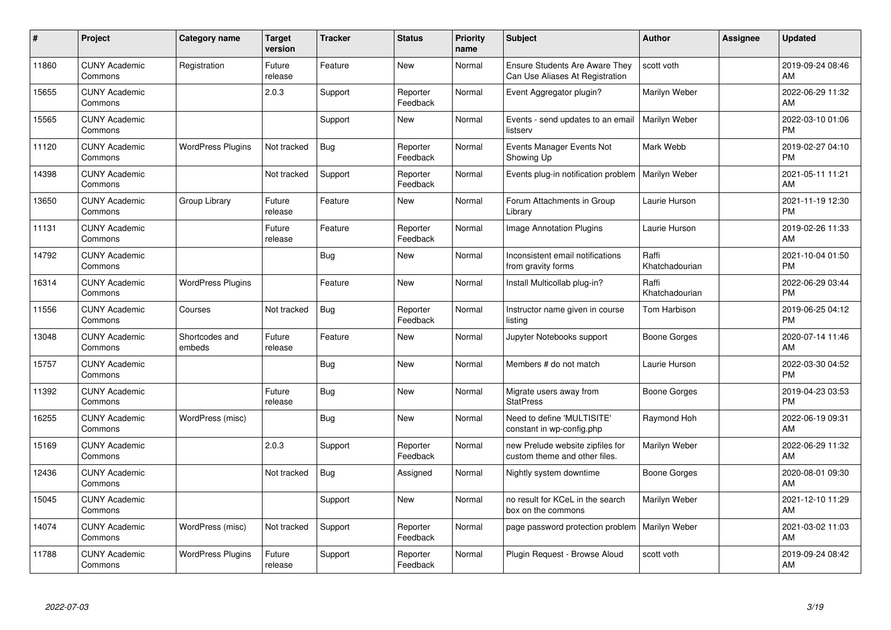| $\#$  | Project                         | <b>Category name</b>     | <b>Target</b><br>version | <b>Tracker</b> | <b>Status</b>        | <b>Priority</b><br>name | <b>Subject</b>                                                           | <b>Author</b>           | <b>Assignee</b> | <b>Updated</b>                |
|-------|---------------------------------|--------------------------|--------------------------|----------------|----------------------|-------------------------|--------------------------------------------------------------------------|-------------------------|-----------------|-------------------------------|
| 11860 | <b>CUNY Academic</b><br>Commons | Registration             | Future<br>release        | Feature        | <b>New</b>           | Normal                  | <b>Ensure Students Are Aware They</b><br>Can Use Aliases At Registration | scott voth              |                 | 2019-09-24 08:46<br>AM        |
| 15655 | <b>CUNY Academic</b><br>Commons |                          | 2.0.3                    | Support        | Reporter<br>Feedback | Normal                  | Event Aggregator plugin?                                                 | Marilyn Weber           |                 | 2022-06-29 11:32<br>AM        |
| 15565 | <b>CUNY Academic</b><br>Commons |                          |                          | Support        | New                  | Normal                  | Events - send updates to an email<br>listserv                            | Marilyn Weber           |                 | 2022-03-10 01:06<br><b>PM</b> |
| 11120 | <b>CUNY Academic</b><br>Commons | <b>WordPress Plugins</b> | Not tracked              | Bug            | Reporter<br>Feedback | Normal                  | Events Manager Events Not<br>Showing Up                                  | Mark Webb               |                 | 2019-02-27 04:10<br><b>PM</b> |
| 14398 | <b>CUNY Academic</b><br>Commons |                          | Not tracked              | Support        | Reporter<br>Feedback | Normal                  | Events plug-in notification problem                                      | Marilyn Weber           |                 | 2021-05-11 11:21<br>AM        |
| 13650 | <b>CUNY Academic</b><br>Commons | Group Library            | Future<br>release        | Feature        | <b>New</b>           | Normal                  | Forum Attachments in Group<br>Library                                    | Laurie Hurson           |                 | 2021-11-19 12:30<br><b>PM</b> |
| 11131 | <b>CUNY Academic</b><br>Commons |                          | Future<br>release        | Feature        | Reporter<br>Feedback | Normal                  | <b>Image Annotation Plugins</b>                                          | Laurie Hurson           |                 | 2019-02-26 11:33<br>AM        |
| 14792 | <b>CUNY Academic</b><br>Commons |                          |                          | Bug            | New                  | Normal                  | Inconsistent email notifications<br>from gravity forms                   | Raffi<br>Khatchadourian |                 | 2021-10-04 01:50<br><b>PM</b> |
| 16314 | <b>CUNY Academic</b><br>Commons | <b>WordPress Plugins</b> |                          | Feature        | <b>New</b>           | Normal                  | Install Multicollab plug-in?                                             | Raffi<br>Khatchadourian |                 | 2022-06-29 03:44<br><b>PM</b> |
| 11556 | <b>CUNY Academic</b><br>Commons | Courses                  | Not tracked              | <b>Bug</b>     | Reporter<br>Feedback | Normal                  | Instructor name given in course<br>listing                               | Tom Harbison            |                 | 2019-06-25 04:12<br>PM        |
| 13048 | <b>CUNY Academic</b><br>Commons | Shortcodes and<br>embeds | Future<br>release        | Feature        | New                  | Normal                  | Jupyter Notebooks support                                                | Boone Gorges            |                 | 2020-07-14 11:46<br>AM        |
| 15757 | <b>CUNY Academic</b><br>Commons |                          |                          | <b>Bug</b>     | <b>New</b>           | Normal                  | Members # do not match                                                   | Laurie Hurson           |                 | 2022-03-30 04:52<br><b>PM</b> |
| 11392 | <b>CUNY Academic</b><br>Commons |                          | Future<br>release        | Bug            | New                  | Normal                  | Migrate users away from<br><b>StatPress</b>                              | Boone Gorges            |                 | 2019-04-23 03:53<br><b>PM</b> |
| 16255 | <b>CUNY Academic</b><br>Commons | WordPress (misc)         |                          | <b>Bug</b>     | New                  | Normal                  | Need to define 'MULTISITE'<br>constant in wp-config.php                  | Raymond Hoh             |                 | 2022-06-19 09:31<br>AM.       |
| 15169 | <b>CUNY Academic</b><br>Commons |                          | 2.0.3                    | Support        | Reporter<br>Feedback | Normal                  | new Prelude website zipfiles for<br>custom theme and other files.        | Marilyn Weber           |                 | 2022-06-29 11:32<br>AM        |
| 12436 | <b>CUNY Academic</b><br>Commons |                          | Not tracked              | Bug            | Assigned             | Normal                  | Nightly system downtime                                                  | Boone Gorges            |                 | 2020-08-01 09:30<br><b>AM</b> |
| 15045 | <b>CUNY Academic</b><br>Commons |                          |                          | Support        | New                  | Normal                  | no result for KCeL in the search<br>box on the commons                   | Marilyn Weber           |                 | 2021-12-10 11:29<br>AM        |
| 14074 | <b>CUNY Academic</b><br>Commons | WordPress (misc)         | Not tracked              | Support        | Reporter<br>Feedback | Normal                  | page password protection problem                                         | Marilyn Weber           |                 | 2021-03-02 11:03<br>AM        |
| 11788 | <b>CUNY Academic</b><br>Commons | <b>WordPress Plugins</b> | Future<br>release        | Support        | Reporter<br>Feedback | Normal                  | Plugin Request - Browse Aloud                                            | scott voth              |                 | 2019-09-24 08:42<br>AM        |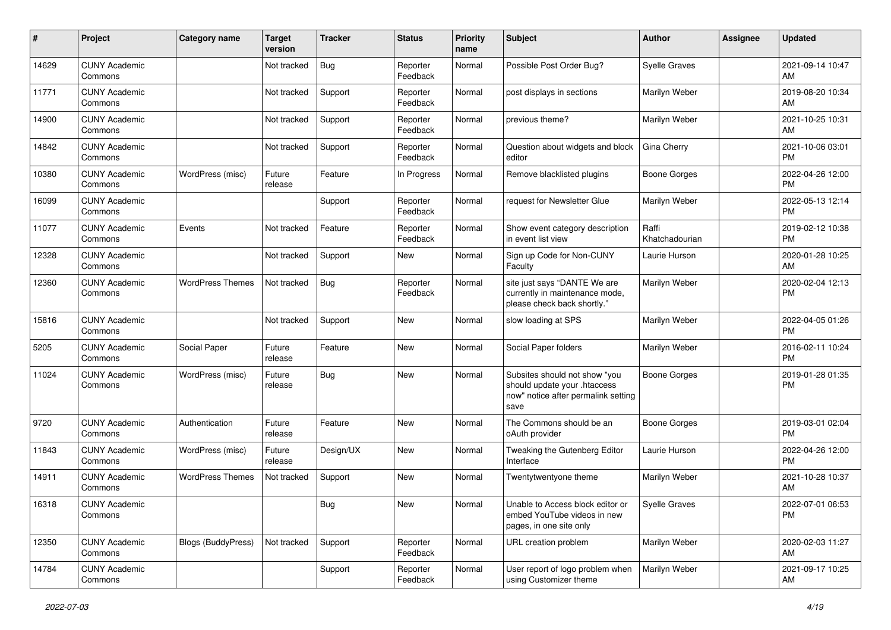| #     | Project                         | <b>Category name</b>      | <b>Target</b><br>version | Tracker    | <b>Status</b>        | Priority<br>name | <b>Subject</b>                                                                                               | <b>Author</b>           | <b>Assignee</b> | <b>Updated</b>                |
|-------|---------------------------------|---------------------------|--------------------------|------------|----------------------|------------------|--------------------------------------------------------------------------------------------------------------|-------------------------|-----------------|-------------------------------|
| 14629 | <b>CUNY Academic</b><br>Commons |                           | Not tracked              | <b>Bug</b> | Reporter<br>Feedback | Normal           | Possible Post Order Bug?                                                                                     | <b>Syelle Graves</b>    |                 | 2021-09-14 10:47<br>AM        |
| 11771 | <b>CUNY Academic</b><br>Commons |                           | Not tracked              | Support    | Reporter<br>Feedback | Normal           | post displays in sections                                                                                    | Marilyn Weber           |                 | 2019-08-20 10:34<br>AM        |
| 14900 | <b>CUNY Academic</b><br>Commons |                           | Not tracked              | Support    | Reporter<br>Feedback | Normal           | previous theme?                                                                                              | Marilyn Weber           |                 | 2021-10-25 10:31<br>AM        |
| 14842 | <b>CUNY Academic</b><br>Commons |                           | Not tracked              | Support    | Reporter<br>Feedback | Normal           | Question about widgets and block<br>editor                                                                   | Gina Cherry             |                 | 2021-10-06 03:01<br><b>PM</b> |
| 10380 | <b>CUNY Academic</b><br>Commons | WordPress (misc)          | Future<br>release        | Feature    | In Progress          | Normal           | Remove blacklisted plugins                                                                                   | <b>Boone Gorges</b>     |                 | 2022-04-26 12:00<br><b>PM</b> |
| 16099 | <b>CUNY Academic</b><br>Commons |                           |                          | Support    | Reporter<br>Feedback | Normal           | request for Newsletter Glue                                                                                  | Marilyn Weber           |                 | 2022-05-13 12:14<br><b>PM</b> |
| 11077 | <b>CUNY Academic</b><br>Commons | Events                    | Not tracked              | Feature    | Reporter<br>Feedback | Normal           | Show event category description<br>in event list view                                                        | Raffi<br>Khatchadourian |                 | 2019-02-12 10:38<br><b>PM</b> |
| 12328 | <b>CUNY Academic</b><br>Commons |                           | Not tracked              | Support    | <b>New</b>           | Normal           | Sign up Code for Non-CUNY<br>Faculty                                                                         | Laurie Hurson           |                 | 2020-01-28 10:25<br>AM        |
| 12360 | <b>CUNY Academic</b><br>Commons | <b>WordPress Themes</b>   | Not tracked              | <b>Bug</b> | Reporter<br>Feedback | Normal           | site just says "DANTE We are<br>currently in maintenance mode,<br>please check back shortly."                | Marilyn Weber           |                 | 2020-02-04 12:13<br>PM        |
| 15816 | <b>CUNY Academic</b><br>Commons |                           | Not tracked              | Support    | New                  | Normal           | slow loading at SPS                                                                                          | Marilyn Weber           |                 | 2022-04-05 01:26<br><b>PM</b> |
| 5205  | <b>CUNY Academic</b><br>Commons | Social Paper              | Future<br>release        | Feature    | New                  | Normal           | Social Paper folders                                                                                         | Marilyn Weber           |                 | 2016-02-11 10:24<br><b>PM</b> |
| 11024 | <b>CUNY Academic</b><br>Commons | WordPress (misc)          | Future<br>release        | Bug        | <b>New</b>           | Normal           | Subsites should not show "you<br>should update your .htaccess<br>now" notice after permalink setting<br>save | Boone Gorges            |                 | 2019-01-28 01:35<br><b>PM</b> |
| 9720  | <b>CUNY Academic</b><br>Commons | Authentication            | Future<br>release        | Feature    | New                  | Normal           | The Commons should be an<br>oAuth provider                                                                   | <b>Boone Gorges</b>     |                 | 2019-03-01 02:04<br><b>PM</b> |
| 11843 | <b>CUNY Academic</b><br>Commons | WordPress (misc)          | Future<br>release        | Design/UX  | <b>New</b>           | Normal           | Tweaking the Gutenberg Editor<br>Interface                                                                   | Laurie Hurson           |                 | 2022-04-26 12:00<br><b>PM</b> |
| 14911 | <b>CUNY Academic</b><br>Commons | <b>WordPress Themes</b>   | Not tracked              | Support    | <b>New</b>           | Normal           | Twentytwentyone theme                                                                                        | Marilyn Weber           |                 | 2021-10-28 10:37<br>AM        |
| 16318 | <b>CUNY Academic</b><br>Commons |                           |                          | Bug        | New                  | Normal           | Unable to Access block editor or<br>embed YouTube videos in new<br>pages, in one site only                   | Syelle Graves           |                 | 2022-07-01 06:53<br><b>PM</b> |
| 12350 | <b>CUNY Academic</b><br>Commons | <b>Blogs (BuddyPress)</b> | Not tracked              | Support    | Reporter<br>Feedback | Normal           | URL creation problem                                                                                         | Marilyn Weber           |                 | 2020-02-03 11:27<br>AM        |
| 14784 | <b>CUNY Academic</b><br>Commons |                           |                          | Support    | Reporter<br>Feedback | Normal           | User report of logo problem when<br>using Customizer theme                                                   | Marilyn Weber           |                 | 2021-09-17 10:25<br>AM        |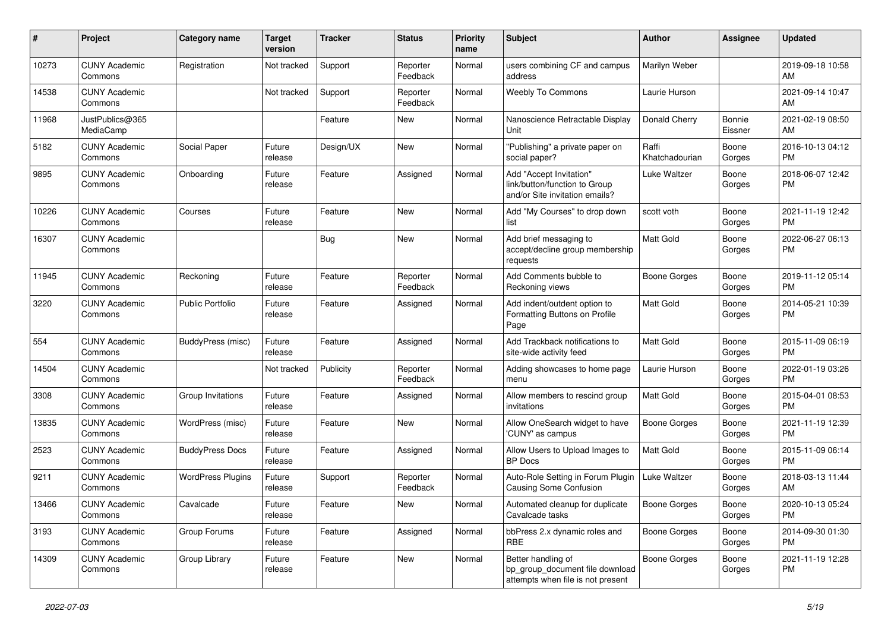| #     | Project                         | <b>Category name</b>     | <b>Target</b><br>version | <b>Tracker</b> | <b>Status</b>        | Priority<br>name | <b>Subject</b>                                                                             | Author                  | <b>Assignee</b>   | <b>Updated</b>                |
|-------|---------------------------------|--------------------------|--------------------------|----------------|----------------------|------------------|--------------------------------------------------------------------------------------------|-------------------------|-------------------|-------------------------------|
| 10273 | <b>CUNY Academic</b><br>Commons | Registration             | Not tracked              | Support        | Reporter<br>Feedback | Normal           | users combining CF and campus<br>address                                                   | Marilyn Weber           |                   | 2019-09-18 10:58<br>AM        |
| 14538 | <b>CUNY Academic</b><br>Commons |                          | Not tracked              | Support        | Reporter<br>Feedback | Normal           | Weebly To Commons                                                                          | Laurie Hurson           |                   | 2021-09-14 10:47<br>AM        |
| 11968 | JustPublics@365<br>MediaCamp    |                          |                          | Feature        | New                  | Normal           | Nanoscience Retractable Display<br>Unit                                                    | Donald Cherry           | Bonnie<br>Eissner | 2021-02-19 08:50<br>AM        |
| 5182  | <b>CUNY Academic</b><br>Commons | Social Paper             | Future<br>release        | Design/UX      | New                  | Normal           | "Publishing" a private paper on<br>social paper?                                           | Raffi<br>Khatchadourian | Boone<br>Gorges   | 2016-10-13 04:12<br><b>PM</b> |
| 9895  | <b>CUNY Academic</b><br>Commons | Onboarding               | Future<br>release        | Feature        | Assigned             | Normal           | Add "Accept Invitation"<br>link/button/function to Group<br>and/or Site invitation emails? | Luke Waltzer            | Boone<br>Gorges   | 2018-06-07 12:42<br><b>PM</b> |
| 10226 | <b>CUNY Academic</b><br>Commons | Courses                  | Future<br>release        | Feature        | New                  | Normal           | Add "My Courses" to drop down<br>list                                                      | scott voth              | Boone<br>Gorges   | 2021-11-19 12:42<br><b>PM</b> |
| 16307 | <b>CUNY Academic</b><br>Commons |                          |                          | Bug            | New                  | Normal           | Add brief messaging to<br>accept/decline group membership<br>requests                      | Matt Gold               | Boone<br>Gorges   | 2022-06-27 06:13<br><b>PM</b> |
| 11945 | <b>CUNY Academic</b><br>Commons | Reckoning                | Future<br>release        | Feature        | Reporter<br>Feedback | Normal           | Add Comments bubble to<br>Reckoning views                                                  | <b>Boone Gorges</b>     | Boone<br>Gorges   | 2019-11-12 05:14<br><b>PM</b> |
| 3220  | <b>CUNY Academic</b><br>Commons | <b>Public Portfolio</b>  | Future<br>release        | Feature        | Assigned             | Normal           | Add indent/outdent option to<br>Formatting Buttons on Profile<br>Page                      | <b>Matt Gold</b>        | Boone<br>Gorges   | 2014-05-21 10:39<br><b>PM</b> |
| 554   | <b>CUNY Academic</b><br>Commons | <b>BuddyPress</b> (misc) | Future<br>release        | Feature        | Assigned             | Normal           | Add Trackback notifications to<br>site-wide activity feed                                  | Matt Gold               | Boone<br>Gorges   | 2015-11-09 06:19<br><b>PM</b> |
| 14504 | <b>CUNY Academic</b><br>Commons |                          | Not tracked              | Publicity      | Reporter<br>Feedback | Normal           | Adding showcases to home page<br>menu                                                      | Laurie Hurson           | Boone<br>Gorges   | 2022-01-19 03:26<br>PM        |
| 3308  | <b>CUNY Academic</b><br>Commons | Group Invitations        | Future<br>release        | Feature        | Assigned             | Normal           | Allow members to rescind group<br>invitations                                              | <b>Matt Gold</b>        | Boone<br>Gorges   | 2015-04-01 08:53<br><b>PM</b> |
| 13835 | <b>CUNY Academic</b><br>Commons | WordPress (misc)         | Future<br>release        | Feature        | New                  | Normal           | Allow OneSearch widget to have<br>'CUNY' as campus                                         | <b>Boone Gorges</b>     | Boone<br>Gorges   | 2021-11-19 12:39<br><b>PM</b> |
| 2523  | <b>CUNY Academic</b><br>Commons | <b>BuddyPress Docs</b>   | Future<br>release        | Feature        | Assigned             | Normal           | Allow Users to Upload Images to<br><b>BP</b> Docs                                          | <b>Matt Gold</b>        | Boone<br>Gorges   | 2015-11-09 06:14<br><b>PM</b> |
| 9211  | <b>CUNY Academic</b><br>Commons | <b>WordPress Plugins</b> | Future<br>release        | Support        | Reporter<br>Feedback | Normal           | Auto-Role Setting in Forum Plugin<br><b>Causing Some Confusion</b>                         | Luke Waltzer            | Boone<br>Gorges   | 2018-03-13 11:44<br>AM        |
| 13466 | <b>CUNY Academic</b><br>Commons | Cavalcade                | Future<br>release        | Feature        | New                  | Normal           | Automated cleanup for duplicate<br>Cavalcade tasks                                         | Boone Gorges            | Boone<br>Gorges   | 2020-10-13 05:24<br><b>PM</b> |
| 3193  | <b>CUNY Academic</b><br>Commons | Group Forums             | Future<br>release        | Feature        | Assigned             | Normal           | bbPress 2.x dynamic roles and<br><b>RBE</b>                                                | Boone Gorges            | Boone<br>Gorges   | 2014-09-30 01:30<br><b>PM</b> |
| 14309 | <b>CUNY Academic</b><br>Commons | Group Library            | Future<br>release        | Feature        | New                  | Normal           | Better handling of<br>bp group document file download<br>attempts when file is not present | Boone Gorges            | Boone<br>Gorges   | 2021-11-19 12:28<br><b>PM</b> |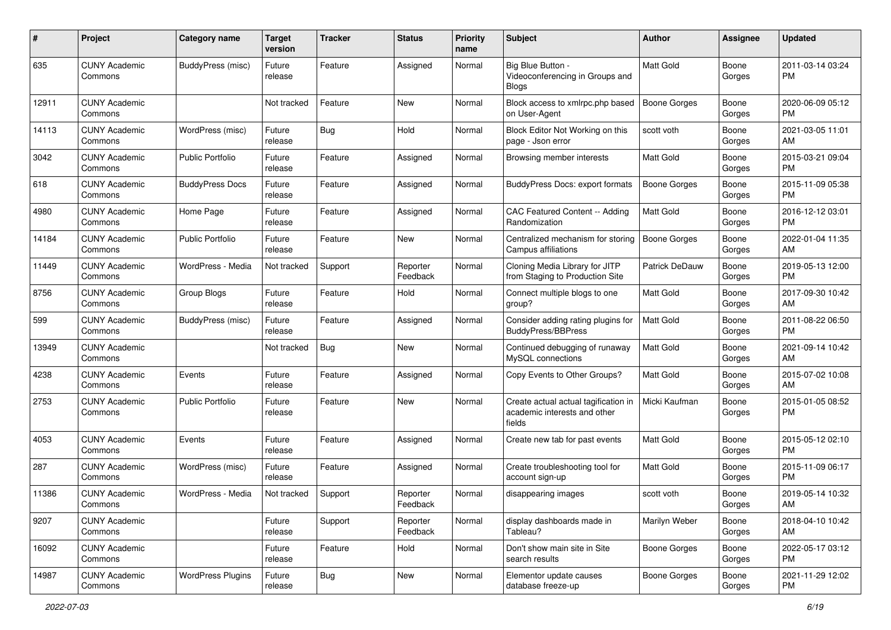| #     | Project                         | <b>Category name</b>     | <b>Target</b><br>version | <b>Tracker</b> | <b>Status</b>        | <b>Priority</b><br>name | Subject                                                                        | Author              | <b>Assignee</b> | <b>Updated</b>                |
|-------|---------------------------------|--------------------------|--------------------------|----------------|----------------------|-------------------------|--------------------------------------------------------------------------------|---------------------|-----------------|-------------------------------|
| 635   | <b>CUNY Academic</b><br>Commons | <b>BuddyPress</b> (misc) | Future<br>release        | Feature        | Assigned             | Normal                  | Big Blue Button -<br>Videoconferencing in Groups and<br><b>Blogs</b>           | Matt Gold           | Boone<br>Gorges | 2011-03-14 03:24<br>PM.       |
| 12911 | <b>CUNY Academic</b><br>Commons |                          | Not tracked              | Feature        | New                  | Normal                  | Block access to xmlrpc.php based<br>on User-Agent                              | <b>Boone Gorges</b> | Boone<br>Gorges | 2020-06-09 05:12<br>PM        |
| 14113 | <b>CUNY Academic</b><br>Commons | WordPress (misc)         | Future<br>release        | Bug            | Hold                 | Normal                  | Block Editor Not Working on this<br>page - Json error                          | scott voth          | Boone<br>Gorges | 2021-03-05 11:01<br>AM        |
| 3042  | <b>CUNY Academic</b><br>Commons | Public Portfolio         | Future<br>release        | Feature        | Assigned             | Normal                  | Browsing member interests                                                      | <b>Matt Gold</b>    | Boone<br>Gorges | 2015-03-21 09:04<br><b>PM</b> |
| 618   | <b>CUNY Academic</b><br>Commons | <b>BuddyPress Docs</b>   | Future<br>release        | Feature        | Assigned             | Normal                  | <b>BuddyPress Docs: export formats</b>                                         | Boone Gorges        | Boone<br>Gorges | 2015-11-09 05:38<br><b>PM</b> |
| 4980  | <b>CUNY Academic</b><br>Commons | Home Page                | Future<br>release        | Feature        | Assigned             | Normal                  | CAC Featured Content -- Adding<br>Randomization                                | Matt Gold           | Boone<br>Gorges | 2016-12-12 03:01<br><b>PM</b> |
| 14184 | <b>CUNY Academic</b><br>Commons | <b>Public Portfolio</b>  | Future<br>release        | Feature        | New                  | Normal                  | Centralized mechanism for storing<br>Campus affiliations                       | <b>Boone Gorges</b> | Boone<br>Gorges | 2022-01-04 11:35<br>AM        |
| 11449 | <b>CUNY Academic</b><br>Commons | WordPress - Media        | Not tracked              | Support        | Reporter<br>Feedback | Normal                  | Cloning Media Library for JITP<br>from Staging to Production Site              | Patrick DeDauw      | Boone<br>Gorges | 2019-05-13 12:00<br><b>PM</b> |
| 8756  | <b>CUNY Academic</b><br>Commons | Group Blogs              | Future<br>release        | Feature        | Hold                 | Normal                  | Connect multiple blogs to one<br>group?                                        | <b>Matt Gold</b>    | Boone<br>Gorges | 2017-09-30 10:42<br>AM        |
| 599   | <b>CUNY Academic</b><br>Commons | BuddyPress (misc)        | Future<br>release        | Feature        | Assigned             | Normal                  | Consider adding rating plugins for<br><b>BuddvPress/BBPress</b>                | Matt Gold           | Boone<br>Gorges | 2011-08-22 06:50<br><b>PM</b> |
| 13949 | <b>CUNY Academic</b><br>Commons |                          | Not tracked              | Bug            | <b>New</b>           | Normal                  | Continued debugging of runaway<br>MySQL connections                            | Matt Gold           | Boone<br>Gorges | 2021-09-14 10:42<br>AM        |
| 4238  | <b>CUNY Academic</b><br>Commons | Events                   | Future<br>release        | Feature        | Assigned             | Normal                  | Copy Events to Other Groups?                                                   | Matt Gold           | Boone<br>Gorges | 2015-07-02 10:08<br>AM        |
| 2753  | <b>CUNY Academic</b><br>Commons | Public Portfolio         | Future<br>release        | Feature        | New                  | Normal                  | Create actual actual tagification in<br>academic interests and other<br>fields | Micki Kaufman       | Boone<br>Gorges | 2015-01-05 08:52<br><b>PM</b> |
| 4053  | <b>CUNY Academic</b><br>Commons | Events                   | Future<br>release        | Feature        | Assigned             | Normal                  | Create new tab for past events                                                 | Matt Gold           | Boone<br>Gorges | 2015-05-12 02:10<br><b>PM</b> |
| 287   | <b>CUNY Academic</b><br>Commons | WordPress (misc)         | Future<br>release        | Feature        | Assigned             | Normal                  | Create troubleshooting tool for<br>account sign-up                             | Matt Gold           | Boone<br>Gorges | 2015-11-09 06:17<br><b>PM</b> |
| 11386 | <b>CUNY Academic</b><br>Commons | WordPress - Media        | Not tracked              | Support        | Reporter<br>Feedback | Normal                  | disappearing images                                                            | scott voth          | Boone<br>Gorges | 2019-05-14 10:32<br>AM        |
| 9207  | <b>CUNY Academic</b><br>Commons |                          | Future<br>release        | Support        | Reporter<br>Feedback | Normal                  | display dashboards made in<br>Tableau?                                         | Marilyn Weber       | Boone<br>Gorges | 2018-04-10 10:42<br>AM        |
| 16092 | <b>CUNY Academic</b><br>Commons |                          | Future<br>release        | Feature        | Hold                 | Normal                  | Don't show main site in Site<br>search results                                 | Boone Gorges        | Boone<br>Gorges | 2022-05-17 03:12<br><b>PM</b> |
| 14987 | <b>CUNY Academic</b><br>Commons | <b>WordPress Plugins</b> | Future<br>release        | <b>Bug</b>     | New                  | Normal                  | Elementor update causes<br>database freeze-up                                  | Boone Gorges        | Boone<br>Gorges | 2021-11-29 12:02<br>PM        |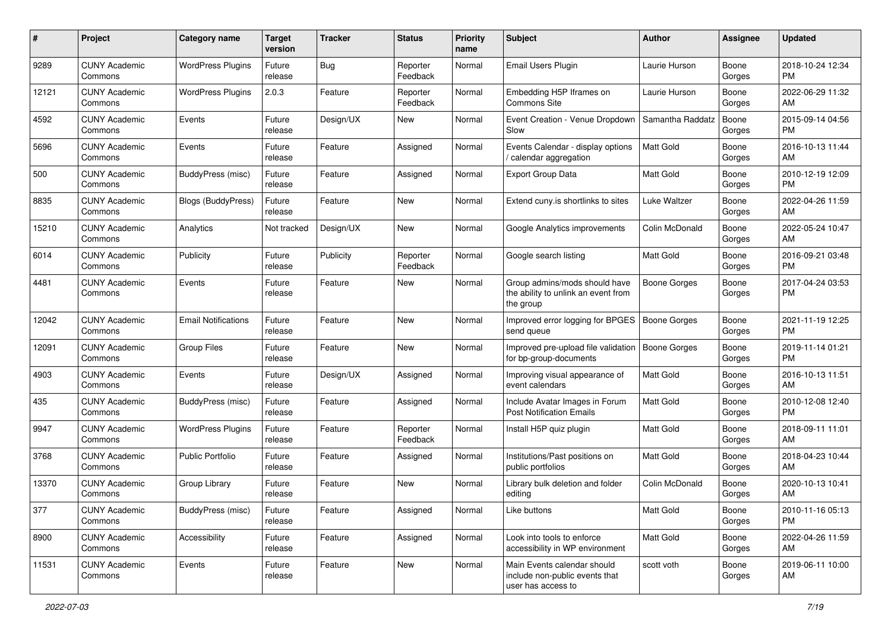| #     | Project                         | <b>Category name</b>       | <b>Target</b><br>version | Tracker   | <b>Status</b>        | <b>Priority</b><br>name | <b>Subject</b>                                                                      | <b>Author</b>       | Assignee        | <b>Updated</b>                |
|-------|---------------------------------|----------------------------|--------------------------|-----------|----------------------|-------------------------|-------------------------------------------------------------------------------------|---------------------|-----------------|-------------------------------|
| 9289  | <b>CUNY Academic</b><br>Commons | <b>WordPress Plugins</b>   | Future<br>release        | Bug       | Reporter<br>Feedback | Normal                  | Email Users Plugin                                                                  | Laurie Hurson       | Boone<br>Gorges | 2018-10-24 12:34<br><b>PM</b> |
| 12121 | <b>CUNY Academic</b><br>Commons | <b>WordPress Plugins</b>   | 2.0.3                    | Feature   | Reporter<br>Feedback | Normal                  | Embedding H5P Iframes on<br><b>Commons Site</b>                                     | Laurie Hurson       | Boone<br>Gorges | 2022-06-29 11:32<br>AM        |
| 4592  | <b>CUNY Academic</b><br>Commons | Events                     | Future<br>release        | Design/UX | New                  | Normal                  | Event Creation - Venue Dropdown<br>Slow                                             | Samantha Raddatz    | Boone<br>Gorges | 2015-09-14 04:56<br><b>PM</b> |
| 5696  | <b>CUNY Academic</b><br>Commons | Events                     | Future<br>release        | Feature   | Assigned             | Normal                  | Events Calendar - display options<br>calendar aggregation                           | <b>Matt Gold</b>    | Boone<br>Gorges | 2016-10-13 11:44<br>AM        |
| 500   | <b>CUNY Academic</b><br>Commons | BuddyPress (misc)          | Future<br>release        | Feature   | Assigned             | Normal                  | <b>Export Group Data</b>                                                            | Matt Gold           | Boone<br>Gorges | 2010-12-19 12:09<br><b>PM</b> |
| 8835  | <b>CUNY Academic</b><br>Commons | <b>Blogs (BuddyPress)</b>  | Future<br>release        | Feature   | New                  | Normal                  | Extend cuny is shortlinks to sites                                                  | Luke Waltzer        | Boone<br>Gorges | 2022-04-26 11:59<br>AM        |
| 15210 | <b>CUNY Academic</b><br>Commons | Analytics                  | Not tracked              | Design/UX | New                  | Normal                  | Google Analytics improvements                                                       | Colin McDonald      | Boone<br>Gorges | 2022-05-24 10:47<br>AM        |
| 6014  | <b>CUNY Academic</b><br>Commons | Publicity                  | Future<br>release        | Publicity | Reporter<br>Feedback | Normal                  | Google search listing                                                               | <b>Matt Gold</b>    | Boone<br>Gorges | 2016-09-21 03:48<br><b>PM</b> |
| 4481  | <b>CUNY Academic</b><br>Commons | Events                     | Future<br>release        | Feature   | New                  | Normal                  | Group admins/mods should have<br>the ability to unlink an event from<br>the group   | <b>Boone Gorges</b> | Boone<br>Gorges | 2017-04-24 03:53<br>PM        |
| 12042 | <b>CUNY Academic</b><br>Commons | <b>Email Notifications</b> | Future<br>release        | Feature   | New                  | Normal                  | Improved error logging for BPGES<br>send queue                                      | <b>Boone Gorges</b> | Boone<br>Gorges | 2021-11-19 12:25<br><b>PM</b> |
| 12091 | <b>CUNY Academic</b><br>Commons | <b>Group Files</b>         | Future<br>release        | Feature   | New                  | Normal                  | Improved pre-upload file validation<br>for bp-group-documents                       | <b>Boone Gorges</b> | Boone<br>Gorges | 2019-11-14 01:21<br><b>PM</b> |
| 4903  | CUNY Academic<br>Commons        | Events                     | Future<br>release        | Design/UX | Assigned             | Normal                  | Improving visual appearance of<br>event calendars                                   | <b>Matt Gold</b>    | Boone<br>Gorges | 2016-10-13 11:51<br>AM        |
| 435   | <b>CUNY Academic</b><br>Commons | BuddyPress (misc)          | Future<br>release        | Feature   | Assigned             | Normal                  | Include Avatar Images in Forum<br><b>Post Notification Emails</b>                   | <b>Matt Gold</b>    | Boone<br>Gorges | 2010-12-08 12:40<br><b>PM</b> |
| 9947  | <b>CUNY Academic</b><br>Commons | <b>WordPress Plugins</b>   | Future<br>release        | Feature   | Reporter<br>Feedback | Normal                  | Install H5P quiz plugin                                                             | <b>Matt Gold</b>    | Boone<br>Gorges | 2018-09-11 11:01<br>AM        |
| 3768  | <b>CUNY Academic</b><br>Commons | <b>Public Portfolio</b>    | Future<br>release        | Feature   | Assigned             | Normal                  | Institutions/Past positions on<br>public portfolios                                 | Matt Gold           | Boone<br>Gorges | 2018-04-23 10:44<br>AM        |
| 13370 | <b>CUNY Academic</b><br>Commons | Group Library              | Future<br>release        | Feature   | New                  | Normal                  | Library bulk deletion and folder<br>editing                                         | Colin McDonald      | Boone<br>Gorges | 2020-10-13 10:41<br>AM        |
| 377   | <b>CUNY Academic</b><br>Commons | <b>BuddyPress (misc)</b>   | Future<br>release        | Feature   | Assigned             | Normal                  | Like buttons                                                                        | <b>Matt Gold</b>    | Boone<br>Gorges | 2010-11-16 05:13<br>PM        |
| 8900  | <b>CUNY Academic</b><br>Commons | Accessibility              | Future<br>release        | Feature   | Assigned             | Normal                  | Look into tools to enforce<br>accessibility in WP environment                       | Matt Gold           | Boone<br>Gorges | 2022-04-26 11:59<br>AM        |
| 11531 | <b>CUNY Academic</b><br>Commons | Events                     | Future<br>release        | Feature   | New                  | Normal                  | Main Events calendar should<br>include non-public events that<br>user has access to | scott voth          | Boone<br>Gorges | 2019-06-11 10:00<br>AM        |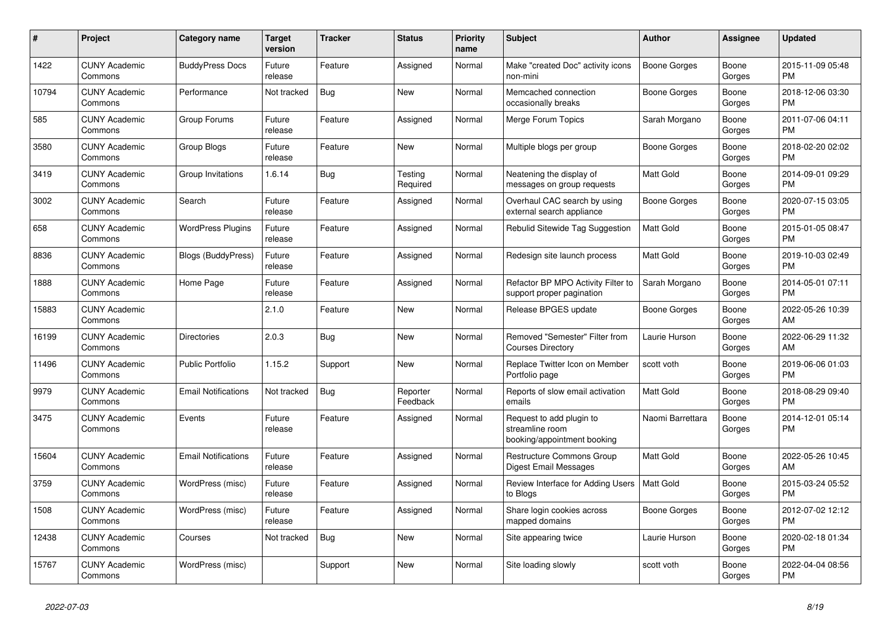| #     | Project                         | Category name              | <b>Target</b><br>version | Tracker    | <b>Status</b>        | <b>Priority</b><br>name | <b>Subject</b>                                                             | <b>Author</b>       | Assignee        | <b>Updated</b>                |
|-------|---------------------------------|----------------------------|--------------------------|------------|----------------------|-------------------------|----------------------------------------------------------------------------|---------------------|-----------------|-------------------------------|
| 1422  | <b>CUNY Academic</b><br>Commons | <b>BuddyPress Docs</b>     | Future<br>release        | Feature    | Assigned             | Normal                  | Make "created Doc" activity icons<br>non-mini                              | <b>Boone Gorges</b> | Boone<br>Gorges | 2015-11-09 05:48<br><b>PM</b> |
| 10794 | <b>CUNY Academic</b><br>Commons | Performance                | Not tracked              | <b>Bug</b> | New                  | Normal                  | Memcached connection<br>occasionally breaks                                | Boone Gorges        | Boone<br>Gorges | 2018-12-06 03:30<br><b>PM</b> |
| 585   | <b>CUNY Academic</b><br>Commons | Group Forums               | Future<br>release        | Feature    | Assigned             | Normal                  | Merge Forum Topics                                                         | Sarah Morgano       | Boone<br>Gorges | 2011-07-06 04:11<br><b>PM</b> |
| 3580  | <b>CUNY Academic</b><br>Commons | Group Blogs                | Future<br>release        | Feature    | <b>New</b>           | Normal                  | Multiple blogs per group                                                   | <b>Boone Gorges</b> | Boone<br>Gorges | 2018-02-20 02:02<br><b>PM</b> |
| 3419  | <b>CUNY Academic</b><br>Commons | Group Invitations          | 1.6.14                   | Bug        | Testing<br>Required  | Normal                  | Neatening the display of<br>messages on group requests                     | <b>Matt Gold</b>    | Boone<br>Gorges | 2014-09-01 09:29<br><b>PM</b> |
| 3002  | <b>CUNY Academic</b><br>Commons | Search                     | Future<br>release        | Feature    | Assigned             | Normal                  | Overhaul CAC search by using<br>external search appliance                  | Boone Gorges        | Boone<br>Gorges | 2020-07-15 03:05<br><b>PM</b> |
| 658   | <b>CUNY Academic</b><br>Commons | <b>WordPress Plugins</b>   | Future<br>release        | Feature    | Assigned             | Normal                  | Rebulid Sitewide Tag Suggestion                                            | <b>Matt Gold</b>    | Boone<br>Gorges | 2015-01-05 08:47<br><b>PM</b> |
| 8836  | <b>CUNY Academic</b><br>Commons | Blogs (BuddyPress)         | Future<br>release        | Feature    | Assigned             | Normal                  | Redesign site launch process                                               | Matt Gold           | Boone<br>Gorges | 2019-10-03 02:49<br><b>PM</b> |
| 1888  | <b>CUNY Academic</b><br>Commons | Home Page                  | Future<br>release        | Feature    | Assigned             | Normal                  | Refactor BP MPO Activity Filter to<br>support proper pagination            | Sarah Morgano       | Boone<br>Gorges | 2014-05-01 07:11<br><b>PM</b> |
| 15883 | <b>CUNY Academic</b><br>Commons |                            | 2.1.0                    | Feature    | <b>New</b>           | Normal                  | Release BPGES update                                                       | Boone Gorges        | Boone<br>Gorges | 2022-05-26 10:39<br>AM        |
| 16199 | <b>CUNY Academic</b><br>Commons | <b>Directories</b>         | 2.0.3                    | Bug        | <b>New</b>           | Normal                  | Removed "Semester" Filter from<br><b>Courses Directory</b>                 | Laurie Hurson       | Boone<br>Gorges | 2022-06-29 11:32<br>AM        |
| 11496 | <b>CUNY Academic</b><br>Commons | <b>Public Portfolio</b>    | 1.15.2                   | Support    | <b>New</b>           | Normal                  | Replace Twitter Icon on Member<br>Portfolio page                           | scott voth          | Boone<br>Gorges | 2019-06-06 01:03<br><b>PM</b> |
| 9979  | <b>CUNY Academic</b><br>Commons | <b>Email Notifications</b> | Not tracked              | Bug        | Reporter<br>Feedback | Normal                  | Reports of slow email activation<br>emails                                 | <b>Matt Gold</b>    | Boone<br>Gorges | 2018-08-29 09:40<br><b>PM</b> |
| 3475  | <b>CUNY Academic</b><br>Commons | Events                     | Future<br>release        | Feature    | Assigned             | Normal                  | Request to add plugin to<br>streamline room<br>booking/appointment booking | Naomi Barrettara    | Boone<br>Gorges | 2014-12-01 05:14<br><b>PM</b> |
| 15604 | <b>CUNY Academic</b><br>Commons | <b>Email Notifications</b> | Future<br>release        | Feature    | Assigned             | Normal                  | Restructure Commons Group<br>Digest Email Messages                         | <b>Matt Gold</b>    | Boone<br>Gorges | 2022-05-26 10:45<br>AM        |
| 3759  | <b>CUNY Academic</b><br>Commons | WordPress (misc)           | Future<br>release        | Feature    | Assigned             | Normal                  | Review Interface for Adding Users<br>to Blogs                              | Matt Gold           | Boone<br>Gorges | 2015-03-24 05:52<br><b>PM</b> |
| 1508  | <b>CUNY Academic</b><br>Commons | WordPress (misc)           | Future<br>release        | Feature    | Assigned             | Normal                  | Share login cookies across<br>mapped domains                               | Boone Gorges        | Boone<br>Gorges | 2012-07-02 12:12<br><b>PM</b> |
| 12438 | <b>CUNY Academic</b><br>Commons | Courses                    | Not tracked              | Bug        | New                  | Normal                  | Site appearing twice                                                       | Laurie Hurson       | Boone<br>Gorges | 2020-02-18 01:34<br><b>PM</b> |
| 15767 | <b>CUNY Academic</b><br>Commons | WordPress (misc)           |                          | Support    | <b>New</b>           | Normal                  | Site loading slowly                                                        | scott voth          | Boone<br>Gorges | 2022-04-04 08:56<br>PM        |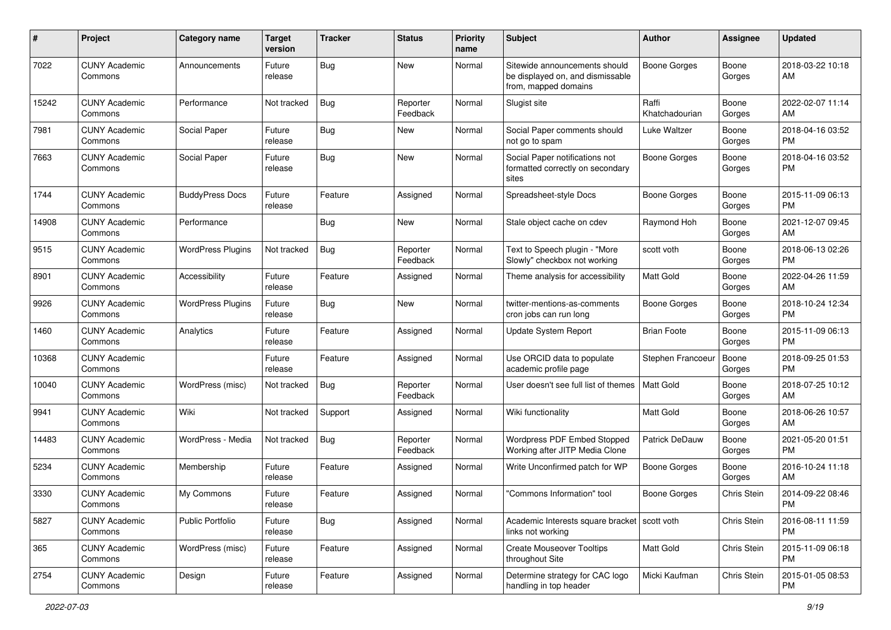| #     | Project                         | <b>Category name</b>     | <b>Target</b><br>version | <b>Tracker</b> | <b>Status</b>        | Priority<br>name | <b>Subject</b>                                                                            | Author                  | <b>Assignee</b>    | <b>Updated</b>                |
|-------|---------------------------------|--------------------------|--------------------------|----------------|----------------------|------------------|-------------------------------------------------------------------------------------------|-------------------------|--------------------|-------------------------------|
| 7022  | <b>CUNY Academic</b><br>Commons | Announcements            | Future<br>release        | Bug            | <b>New</b>           | Normal           | Sitewide announcements should<br>be displayed on, and dismissable<br>from, mapped domains | <b>Boone Gorges</b>     | Boone<br>Gorges    | 2018-03-22 10:18<br>AM        |
| 15242 | <b>CUNY Academic</b><br>Commons | Performance              | Not tracked              | <b>Bug</b>     | Reporter<br>Feedback | Normal           | Slugist site                                                                              | Raffi<br>Khatchadourian | Boone<br>Gorges    | 2022-02-07 11:14<br>AM        |
| 7981  | <b>CUNY Academic</b><br>Commons | Social Paper             | Future<br>release        | <b>Bug</b>     | New                  | Normal           | Social Paper comments should<br>not go to spam                                            | Luke Waltzer            | Boone<br>Gorges    | 2018-04-16 03:52<br><b>PM</b> |
| 7663  | <b>CUNY Academic</b><br>Commons | Social Paper             | Future<br>release        | Bug            | New                  | Normal           | Social Paper notifications not<br>formatted correctly on secondary<br>sites               | <b>Boone Gorges</b>     | Boone<br>Gorges    | 2018-04-16 03:52<br><b>PM</b> |
| 1744  | <b>CUNY Academic</b><br>Commons | <b>BuddyPress Docs</b>   | Future<br>release        | Feature        | Assigned             | Normal           | Spreadsheet-style Docs                                                                    | Boone Gorges            | Boone<br>Gorges    | 2015-11-09 06:13<br><b>PM</b> |
| 14908 | <b>CUNY Academic</b><br>Commons | Performance              |                          | Bug            | New                  | Normal           | Stale object cache on cdev                                                                | Raymond Hoh             | Boone<br>Gorges    | 2021-12-07 09:45<br>AM        |
| 9515  | <b>CUNY Academic</b><br>Commons | <b>WordPress Plugins</b> | Not tracked              | <b>Bug</b>     | Reporter<br>Feedback | Normal           | Text to Speech plugin - "More<br>Slowly" checkbox not working                             | scott voth              | Boone<br>Gorges    | 2018-06-13 02:26<br><b>PM</b> |
| 8901  | <b>CUNY Academic</b><br>Commons | Accessibility            | Future<br>release        | Feature        | Assigned             | Normal           | Theme analysis for accessibility                                                          | Matt Gold               | Boone<br>Gorges    | 2022-04-26 11:59<br>AM        |
| 9926  | <b>CUNY Academic</b><br>Commons | <b>WordPress Plugins</b> | Future<br>release        | Bug            | New                  | Normal           | twitter-mentions-as-comments<br>cron jobs can run long                                    | Boone Gorges            | Boone<br>Gorges    | 2018-10-24 12:34<br><b>PM</b> |
| 1460  | <b>CUNY Academic</b><br>Commons | Analytics                | Future<br>release        | Feature        | Assigned             | Normal           | Update System Report                                                                      | <b>Brian Foote</b>      | Boone<br>Gorges    | 2015-11-09 06:13<br><b>PM</b> |
| 10368 | <b>CUNY Academic</b><br>Commons |                          | Future<br>release        | Feature        | Assigned             | Normal           | Use ORCID data to populate<br>academic profile page                                       | Stephen Francoeur       | Boone<br>Gorges    | 2018-09-25 01:53<br><b>PM</b> |
| 10040 | <b>CUNY Academic</b><br>Commons | WordPress (misc)         | Not tracked              | Bug            | Reporter<br>Feedback | Normal           | User doesn't see full list of themes                                                      | <b>Matt Gold</b>        | Boone<br>Gorges    | 2018-07-25 10:12<br>AM        |
| 9941  | <b>CUNY Academic</b><br>Commons | Wiki                     | Not tracked              | Support        | Assigned             | Normal           | Wiki functionality                                                                        | <b>Matt Gold</b>        | Boone<br>Gorges    | 2018-06-26 10:57<br>AM        |
| 14483 | <b>CUNY Academic</b><br>Commons | WordPress - Media        | Not tracked              | <b>Bug</b>     | Reporter<br>Feedback | Normal           | Wordpress PDF Embed Stopped<br>Working after JITP Media Clone                             | Patrick DeDauw          | Boone<br>Gorges    | 2021-05-20 01:51<br><b>PM</b> |
| 5234  | <b>CUNY Academic</b><br>Commons | Membership               | Future<br>release        | Feature        | Assigned             | Normal           | Write Unconfirmed patch for WP                                                            | Boone Gorges            | Boone<br>Gorges    | 2016-10-24 11:18<br>AM        |
| 3330  | <b>CUNY Academic</b><br>Commons | My Commons               | Future<br>release        | Feature        | Assigned             | Normal           | "Commons Information" tool                                                                | <b>Boone Gorges</b>     | Chris Stein        | 2014-09-22 08:46<br>PM        |
| 5827  | <b>CUNY Academic</b><br>Commons | <b>Public Portfolio</b>  | Future<br>release        | Bug            | Assigned             | Normal           | Academic Interests square bracket   scott voth<br>links not working                       |                         | <b>Chris Stein</b> | 2016-08-11 11:59<br><b>PM</b> |
| 365   | <b>CUNY Academic</b><br>Commons | WordPress (misc)         | Future<br>release        | Feature        | Assigned             | Normal           | <b>Create Mouseover Tooltips</b><br>throughout Site                                       | Matt Gold               | Chris Stein        | 2015-11-09 06:18<br><b>PM</b> |
| 2754  | <b>CUNY Academic</b><br>Commons | Design                   | Future<br>release        | Feature        | Assigned             | Normal           | Determine strategy for CAC logo<br>handling in top header                                 | Micki Kaufman           | Chris Stein        | 2015-01-05 08:53<br><b>PM</b> |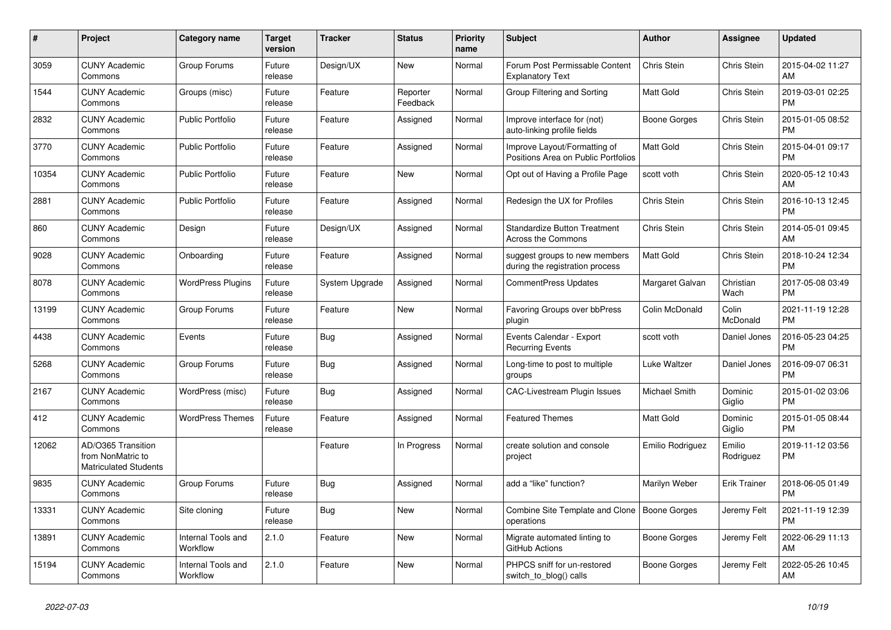| $\pmb{\#}$ | <b>Project</b>                                                          | <b>Category name</b>                  | <b>Target</b><br>version | <b>Tracker</b> | <b>Status</b>        | <b>Priority</b><br>name | <b>Subject</b>                                                      | <b>Author</b>    | Assignee            | <b>Updated</b>                |
|------------|-------------------------------------------------------------------------|---------------------------------------|--------------------------|----------------|----------------------|-------------------------|---------------------------------------------------------------------|------------------|---------------------|-------------------------------|
| 3059       | <b>CUNY Academic</b><br>Commons                                         | Group Forums                          | Future<br>release        | Design/UX      | <b>New</b>           | Normal                  | Forum Post Permissable Content<br><b>Explanatory Text</b>           | Chris Stein      | Chris Stein         | 2015-04-02 11:27<br>AM        |
| 1544       | <b>CUNY Academic</b><br>Commons                                         | Groups (misc)                         | Future<br>release        | Feature        | Reporter<br>Feedback | Normal                  | Group Filtering and Sorting                                         | Matt Gold        | Chris Stein         | 2019-03-01 02:25<br><b>PM</b> |
| 2832       | <b>CUNY Academic</b><br>Commons                                         | <b>Public Portfolio</b>               | Future<br>release        | Feature        | Assigned             | Normal                  | Improve interface for (not)<br>auto-linking profile fields          | Boone Gorges     | Chris Stein         | 2015-01-05 08:52<br><b>PM</b> |
| 3770       | <b>CUNY Academic</b><br>Commons                                         | <b>Public Portfolio</b>               | Future<br>release        | Feature        | Assigned             | Normal                  | Improve Layout/Formatting of<br>Positions Area on Public Portfolios | <b>Matt Gold</b> | Chris Stein         | 2015-04-01 09:17<br><b>PM</b> |
| 10354      | <b>CUNY Academic</b><br>Commons                                         | <b>Public Portfolio</b>               | Future<br>release        | Feature        | New                  | Normal                  | Opt out of Having a Profile Page                                    | scott voth       | Chris Stein         | 2020-05-12 10:43<br>AM        |
| 2881       | <b>CUNY Academic</b><br>Commons                                         | <b>Public Portfolio</b>               | Future<br>release        | Feature        | Assigned             | Normal                  | Redesign the UX for Profiles                                        | Chris Stein      | Chris Stein         | 2016-10-13 12:45<br><b>PM</b> |
| 860        | <b>CUNY Academic</b><br>Commons                                         | Design                                | Future<br>release        | Design/UX      | Assigned             | Normal                  | <b>Standardize Button Treatment</b><br><b>Across the Commons</b>    | Chris Stein      | Chris Stein         | 2014-05-01 09:45<br>AM        |
| 9028       | <b>CUNY Academic</b><br>Commons                                         | Onboarding                            | Future<br>release        | Feature        | Assigned             | Normal                  | suggest groups to new members<br>during the registration process    | Matt Gold        | Chris Stein         | 2018-10-24 12:34<br><b>PM</b> |
| 8078       | <b>CUNY Academic</b><br>Commons                                         | <b>WordPress Plugins</b>              | Future<br>release        | System Upgrade | Assigned             | Normal                  | <b>CommentPress Updates</b>                                         | Margaret Galvan  | Christian<br>Wach   | 2017-05-08 03:49<br><b>PM</b> |
| 13199      | <b>CUNY Academic</b><br>Commons                                         | Group Forums                          | Future<br>release        | Feature        | <b>New</b>           | Normal                  | Favoring Groups over bbPress<br>plugin                              | Colin McDonald   | Colin<br>McDonald   | 2021-11-19 12:28<br><b>PM</b> |
| 4438       | <b>CUNY Academic</b><br>Commons                                         | Events                                | Future<br>release        | Bug            | Assigned             | Normal                  | Events Calendar - Export<br><b>Recurring Events</b>                 | scott voth       | Daniel Jones        | 2016-05-23 04:25<br><b>PM</b> |
| 5268       | <b>CUNY Academic</b><br>Commons                                         | Group Forums                          | Future<br>release        | Bug            | Assigned             | Normal                  | Long-time to post to multiple<br>groups                             | Luke Waltzer     | Daniel Jones        | 2016-09-07 06:31<br><b>PM</b> |
| 2167       | <b>CUNY Academic</b><br>Commons                                         | WordPress (misc)                      | Future<br>release        | Bug            | Assigned             | Normal                  | <b>CAC-Livestream Plugin Issues</b>                                 | Michael Smith    | Dominic<br>Giglio   | 2015-01-02 03:06<br><b>PM</b> |
| 412        | <b>CUNY Academic</b><br>Commons                                         | <b>WordPress Themes</b>               | Future<br>release        | Feature        | Assigned             | Normal                  | <b>Featured Themes</b>                                              | <b>Matt Gold</b> | Dominic<br>Giglio   | 2015-01-05 08:44<br><b>PM</b> |
| 12062      | AD/O365 Transition<br>from NonMatric to<br><b>Matriculated Students</b> |                                       |                          | Feature        | In Progress          | Normal                  | create solution and console<br>project                              | Emilio Rodriguez | Emilio<br>Rodriguez | 2019-11-12 03:56<br><b>PM</b> |
| 9835       | <b>CUNY Academic</b><br>Commons                                         | Group Forums                          | Future<br>release        | Bug            | Assigned             | Normal                  | add a "like" function?                                              | Marilyn Weber    | <b>Erik Trainer</b> | 2018-06-05 01:49<br><b>PM</b> |
| 13331      | <b>CUNY Academic</b><br>Commons                                         | Site cloning                          | Future<br>release        | Bug            | New                  | Normal                  | Combine Site Template and Clone   Boone Gorges<br>operations        |                  | Jeremy Felt         | 2021-11-19 12:39<br><b>PM</b> |
| 13891      | <b>CUNY Academic</b><br>Commons                                         | <b>Internal Tools and</b><br>Workflow | 2.1.0                    | Feature        | New                  | Normal                  | Migrate automated linting to<br>GitHub Actions                      | Boone Gorges     | Jeremy Felt         | 2022-06-29 11:13<br>AM        |
| 15194      | CUNY Academic<br>Commons                                                | Internal Tools and<br>Workflow        | 2.1.0                    | Feature        | <b>New</b>           | Normal                  | PHPCS sniff for un-restored<br>switch_to_blog() calls               | Boone Gorges     | Jeremy Felt         | 2022-05-26 10:45<br>AM        |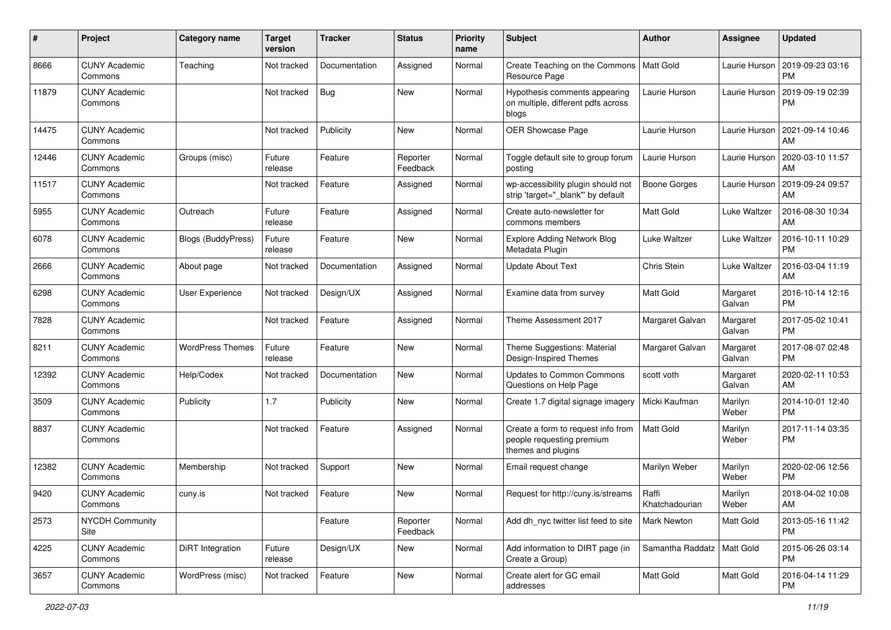| #     | Project                         | Category name             | <b>Target</b><br>version | <b>Tracker</b> | <b>Status</b>        | <b>Priority</b><br>name | Subject                                                                               | <b>Author</b>                | <b>Assignee</b>    | <b>Updated</b>                |
|-------|---------------------------------|---------------------------|--------------------------|----------------|----------------------|-------------------------|---------------------------------------------------------------------------------------|------------------------------|--------------------|-------------------------------|
| 8666  | <b>CUNY Academic</b><br>Commons | Teaching                  | Not tracked              | Documentation  | Assigned             | Normal                  | Create Teaching on the Commons<br>Resource Page                                       | <b>Matt Gold</b>             | Laurie Hurson      | 2019-09-23 03:16<br><b>PM</b> |
| 11879 | <b>CUNY Academic</b><br>Commons |                           | Not tracked              | Bug            | New                  | Normal                  | Hypothesis comments appearing<br>on multiple, different pdfs across<br>blogs          | Laurie Hurson                | Laurie Hurson      | 2019-09-19 02:39<br><b>PM</b> |
| 14475 | <b>CUNY Academic</b><br>Commons |                           | Not tracked              | Publicity      | New                  | Normal                  | OER Showcase Page                                                                     | Laurie Hurson                | Laurie Hurson      | 2021-09-14 10:46<br>AM.       |
| 12446 | <b>CUNY Academic</b><br>Commons | Groups (misc)             | Future<br>release        | Feature        | Reporter<br>Feedback | Normal                  | Toggle default site to group forum<br>posting                                         | Laurie Hurson                | Laurie Hurson      | 2020-03-10 11:57<br>AM.       |
| 11517 | <b>CUNY Academic</b><br>Commons |                           | Not tracked              | Feature        | Assigned             | Normal                  | wp-accessibility plugin should not<br>strip 'target=" blank" by default               | Boone Gorges                 | Laurie Hurson      | 2019-09-24 09:57<br>AM        |
| 5955  | <b>CUNY Academic</b><br>Commons | Outreach                  | Future<br>release        | Feature        | Assigned             | Normal                  | Create auto-newsletter for<br>commons members                                         | Matt Gold                    | Luke Waltzer       | 2016-08-30 10:34<br>AM        |
| 6078  | <b>CUNY Academic</b><br>Commons | <b>Blogs (BuddyPress)</b> | Future<br>release        | Feature        | New                  | Normal                  | <b>Explore Adding Network Blog</b><br>Metadata Plugin                                 | Luke Waltzer                 | Luke Waltzer       | 2016-10-11 10:29<br><b>PM</b> |
| 2666  | <b>CUNY Academic</b><br>Commons | About page                | Not tracked              | Documentation  | Assigned             | Normal                  | <b>Update About Text</b>                                                              | Chris Stein                  | Luke Waltzer       | 2016-03-04 11:19<br>AM        |
| 6298  | <b>CUNY Academic</b><br>Commons | <b>User Experience</b>    | Not tracked              | Design/UX      | Assigned             | Normal                  | Examine data from survey                                                              | <b>Matt Gold</b>             | Margaret<br>Galvan | 2016-10-14 12:16<br>PM.       |
| 7828  | <b>CUNY Academic</b><br>Commons |                           | Not tracked              | Feature        | Assigned             | Normal                  | Theme Assessment 2017                                                                 | Margaret Galvan              | Margaret<br>Galvan | 2017-05-02 10:41<br><b>PM</b> |
| 8211  | <b>CUNY Academic</b><br>Commons | <b>WordPress Themes</b>   | Future<br>release        | Feature        | New                  | Normal                  | Theme Suggestions: Material<br>Design-Inspired Themes                                 | Margaret Galvan              | Margaret<br>Galvan | 2017-08-07 02:48<br><b>PM</b> |
| 12392 | <b>CUNY Academic</b><br>Commons | Help/Codex                | Not tracked              | Documentation  | New                  | Normal                  | <b>Updates to Common Commons</b><br>Questions on Help Page                            | scott voth                   | Margaret<br>Galvan | 2020-02-11 10:53<br>AM        |
| 3509  | <b>CUNY Academic</b><br>Commons | Publicity                 | 1.7                      | Publicity      | New                  | Normal                  | Create 1.7 digital signage imagery                                                    | Micki Kaufman                | Marilyn<br>Weber   | 2014-10-01 12:40<br><b>PM</b> |
| 8837  | <b>CUNY Academic</b><br>Commons |                           | Not tracked              | Feature        | Assigned             | Normal                  | Create a form to request info from<br>people requesting premium<br>themes and plugins | <b>Matt Gold</b>             | Marilyn<br>Weber   | 2017-11-14 03:35<br><b>PM</b> |
| 12382 | <b>CUNY Academic</b><br>Commons | Membership                | Not tracked              | Support        | New                  | Normal                  | Email request change                                                                  | Marilyn Weber                | Marilyn<br>Weber   | 2020-02-06 12:56<br><b>PM</b> |
| 9420  | <b>CUNY Academic</b><br>Commons | cuny.is                   | Not tracked              | Feature        | New                  | Normal                  | Request for http://cuny.is/streams                                                    | Raffi<br>Khatchadourian      | Marilyn<br>Weber   | 2018-04-02 10:08<br>AM        |
| 2573  | <b>NYCDH Community</b><br>Site  |                           |                          | Feature        | Reporter<br>Feedback | Normal                  | Add dh nyc twitter list feed to site                                                  | Mark Newton                  | Matt Gold          | 2013-05-16 11:42<br><b>PM</b> |
| 4225  | <b>CUNY Academic</b><br>Commons | DiRT Integration          | Future<br>release        | Design/UX      | New                  | Normal                  | Add information to DIRT page (in<br>Create a Group)                                   | Samantha Raddatz   Matt Gold |                    | 2015-06-26 03:14<br><b>PM</b> |
| 3657  | <b>CUNY Academic</b><br>Commons | WordPress (misc)          | Not tracked              | Feature        | New                  | Normal                  | Create alert for GC email<br>addresses                                                | Matt Gold                    | Matt Gold          | 2016-04-14 11:29<br><b>PM</b> |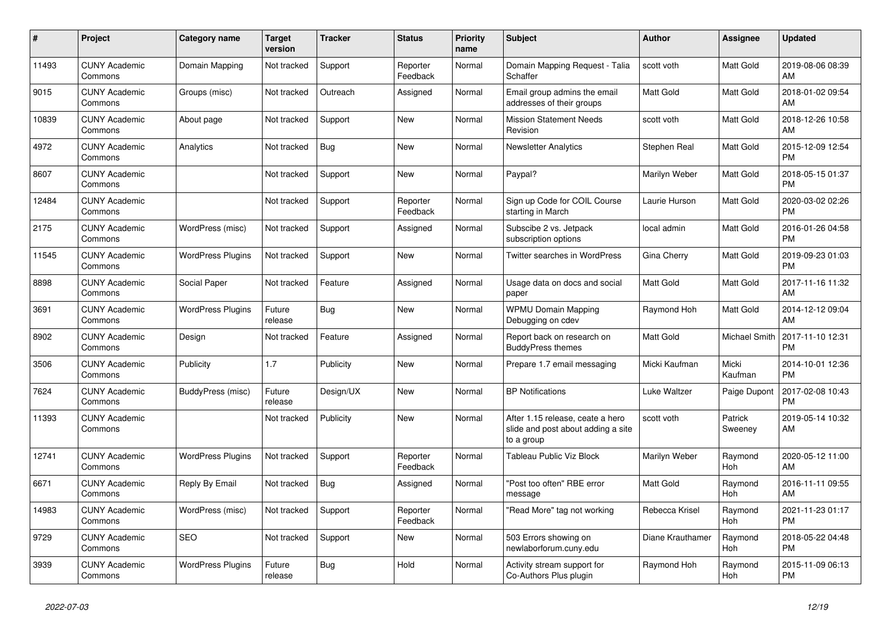| $\pmb{\#}$ | <b>Project</b>                  | <b>Category name</b>     | <b>Target</b><br>version | <b>Tracker</b> | <b>Status</b>        | Priority<br>name | <b>Subject</b>                                                                       | <b>Author</b>    | Assignee           | <b>Updated</b>                |
|------------|---------------------------------|--------------------------|--------------------------|----------------|----------------------|------------------|--------------------------------------------------------------------------------------|------------------|--------------------|-------------------------------|
| 11493      | <b>CUNY Academic</b><br>Commons | Domain Mapping           | Not tracked              | Support        | Reporter<br>Feedback | Normal           | Domain Mapping Request - Talia<br>Schaffer                                           | scott voth       | Matt Gold          | 2019-08-06 08:39<br>AM        |
| 9015       | <b>CUNY Academic</b><br>Commons | Groups (misc)            | Not tracked              | Outreach       | Assigned             | Normal           | Email group admins the email<br>addresses of their groups                            | Matt Gold        | Matt Gold          | 2018-01-02 09:54<br>AM        |
| 10839      | <b>CUNY Academic</b><br>Commons | About page               | Not tracked              | Support        | New                  | Normal           | <b>Mission Statement Needs</b><br>Revision                                           | scott voth       | Matt Gold          | 2018-12-26 10:58<br>AM        |
| 4972       | <b>CUNY Academic</b><br>Commons | Analytics                | Not tracked              | Bug            | <b>New</b>           | Normal           | <b>Newsletter Analytics</b>                                                          | Stephen Real     | Matt Gold          | 2015-12-09 12:54<br><b>PM</b> |
| 8607       | <b>CUNY Academic</b><br>Commons |                          | Not tracked              | Support        | New                  | Normal           | Paypal?                                                                              | Marilyn Weber    | Matt Gold          | 2018-05-15 01:37<br><b>PM</b> |
| 12484      | <b>CUNY Academic</b><br>Commons |                          | Not tracked              | Support        | Reporter<br>Feedback | Normal           | Sign up Code for COIL Course<br>starting in March                                    | Laurie Hurson    | Matt Gold          | 2020-03-02 02:26<br><b>PM</b> |
| 2175       | <b>CUNY Academic</b><br>Commons | WordPress (misc)         | Not tracked              | Support        | Assigned             | Normal           | Subscibe 2 vs. Jetpack<br>subscription options                                       | local admin      | Matt Gold          | 2016-01-26 04:58<br><b>PM</b> |
| 11545      | <b>CUNY Academic</b><br>Commons | <b>WordPress Plugins</b> | Not tracked              | Support        | <b>New</b>           | Normal           | <b>Twitter searches in WordPress</b>                                                 | Gina Cherry      | Matt Gold          | 2019-09-23 01:03<br><b>PM</b> |
| 8898       | <b>CUNY Academic</b><br>Commons | Social Paper             | Not tracked              | Feature        | Assigned             | Normal           | Usage data on docs and social<br>paper                                               | Matt Gold        | Matt Gold          | 2017-11-16 11:32<br>AM        |
| 3691       | <b>CUNY Academic</b><br>Commons | <b>WordPress Plugins</b> | Future<br>release        | Bug            | <b>New</b>           | Normal           | <b>WPMU Domain Mapping</b><br>Debugging on cdev                                      | Raymond Hoh      | Matt Gold          | 2014-12-12 09:04<br>AM        |
| 8902       | <b>CUNY Academic</b><br>Commons | Design                   | Not tracked              | Feature        | Assigned             | Normal           | Report back on research on<br><b>BuddyPress themes</b>                               | Matt Gold        | Michael Smith      | 2017-11-10 12:31<br><b>PM</b> |
| 3506       | <b>CUNY Academic</b><br>Commons | Publicity                | 1.7                      | Publicity      | New                  | Normal           | Prepare 1.7 email messaging                                                          | Micki Kaufman    | Micki<br>Kaufman   | 2014-10-01 12:36<br><b>PM</b> |
| 7624       | <b>CUNY Academic</b><br>Commons | BuddyPress (misc)        | Future<br>release        | Design/UX      | <b>New</b>           | Normal           | <b>BP Notifications</b>                                                              | Luke Waltzer     | Paige Dupont       | 2017-02-08 10:43<br><b>PM</b> |
| 11393      | <b>CUNY Academic</b><br>Commons |                          | Not tracked              | Publicity      | <b>New</b>           | Normal           | After 1.15 release, ceate a hero<br>slide and post about adding a site<br>to a group | scott voth       | Patrick<br>Sweeney | 2019-05-14 10:32<br>AM        |
| 12741      | <b>CUNY Academic</b><br>Commons | <b>WordPress Plugins</b> | Not tracked              | Support        | Reporter<br>Feedback | Normal           | <b>Tableau Public Viz Block</b>                                                      | Marilyn Weber    | Raymond<br>Hoh     | 2020-05-12 11:00<br>AM        |
| 6671       | <b>CUNY Academic</b><br>Commons | Reply By Email           | Not tracked              | <b>Bug</b>     | Assigned             | Normal           | "Post too often" RBE error<br>message                                                | <b>Matt Gold</b> | Raymond<br>Hoh     | 2016-11-11 09:55<br>AM        |
| 14983      | <b>CUNY Academic</b><br>Commons | WordPress (misc)         | Not tracked              | Support        | Reporter<br>Feedback | Normal           | "Read More" tag not working                                                          | Rebecca Krisel   | Raymond<br>Hoh     | 2021-11-23 01:17<br><b>PM</b> |
| 9729       | <b>CUNY Academic</b><br>Commons | <b>SEO</b>               | Not tracked              | Support        | New                  | Normal           | 503 Errors showing on<br>newlaborforum.cuny.edu                                      | Diane Krauthamer | Raymond<br>Hoh     | 2018-05-22 04:48<br><b>PM</b> |
| 3939       | <b>CUNY Academic</b><br>Commons | <b>WordPress Plugins</b> | Future<br>release        | Bug            | Hold                 | Normal           | Activity stream support for<br>Co-Authors Plus plugin                                | Raymond Hoh      | Raymond<br>Hoh     | 2015-11-09 06:13<br><b>PM</b> |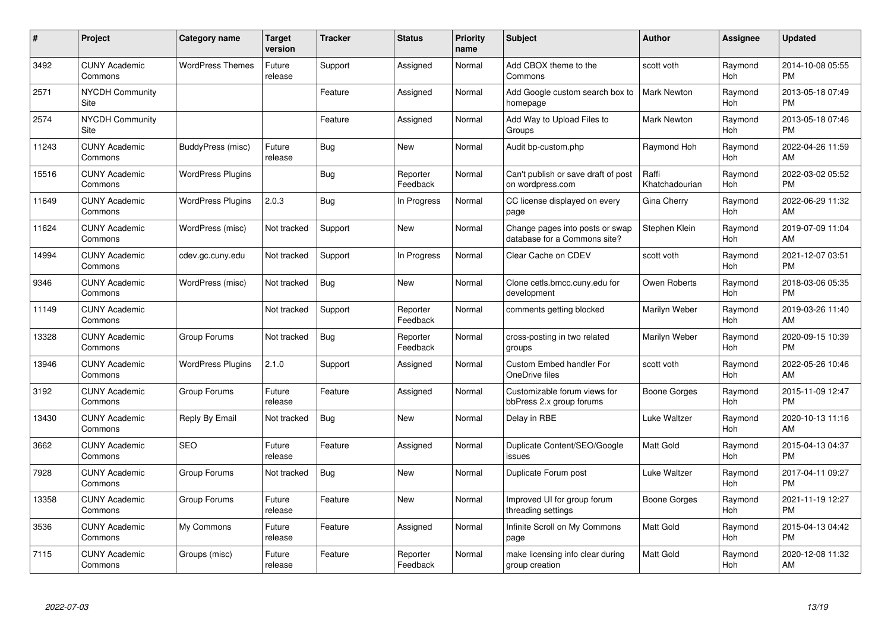| #     | Project                         | <b>Category name</b>     | <b>Target</b><br>version | <b>Tracker</b> | <b>Status</b>        | Priority<br>name | <b>Subject</b>                                                  | <b>Author</b>           | <b>Assignee</b> | <b>Updated</b>                |
|-------|---------------------------------|--------------------------|--------------------------|----------------|----------------------|------------------|-----------------------------------------------------------------|-------------------------|-----------------|-------------------------------|
| 3492  | <b>CUNY Academic</b><br>Commons | <b>WordPress Themes</b>  | Future<br>release        | Support        | Assigned             | Normal           | Add CBOX theme to the<br>Commons                                | scott voth              | Raymond<br>Hoh  | 2014-10-08 05:55<br><b>PM</b> |
| 2571  | <b>NYCDH Community</b><br>Site  |                          |                          | Feature        | Assigned             | Normal           | Add Google custom search box to<br>homepage                     | <b>Mark Newton</b>      | Raymond<br>Hoh  | 2013-05-18 07:49<br><b>PM</b> |
| 2574  | <b>NYCDH Community</b><br>Site  |                          |                          | Feature        | Assigned             | Normal           | Add Way to Upload Files to<br>Groups                            | <b>Mark Newton</b>      | Raymond<br>Hoh  | 2013-05-18 07:46<br><b>PM</b> |
| 11243 | <b>CUNY Academic</b><br>Commons | BuddyPress (misc)        | Future<br>release        | Bug            | New                  | Normal           | Audit bp-custom.php                                             | Raymond Hoh             | Raymond<br>Hoh  | 2022-04-26 11:59<br>AM        |
| 15516 | <b>CUNY Academic</b><br>Commons | <b>WordPress Plugins</b> |                          | Bug            | Reporter<br>Feedback | Normal           | Can't publish or save draft of post<br>on wordpress.com         | Raffi<br>Khatchadourian | Raymond<br>Hoh  | 2022-03-02 05:52<br><b>PM</b> |
| 11649 | <b>CUNY Academic</b><br>Commons | <b>WordPress Plugins</b> | 2.0.3                    | <b>Bug</b>     | In Progress          | Normal           | CC license displayed on every<br>page                           | Gina Cherry             | Raymond<br>Hoh  | 2022-06-29 11:32<br>AM        |
| 11624 | <b>CUNY Academic</b><br>Commons | WordPress (misc)         | Not tracked              | Support        | New                  | Normal           | Change pages into posts or swap<br>database for a Commons site? | Stephen Klein           | Raymond<br>Hoh  | 2019-07-09 11:04<br>AM        |
| 14994 | <b>CUNY Academic</b><br>Commons | cdev.gc.cuny.edu         | Not tracked              | Support        | In Progress          | Normal           | Clear Cache on CDEV                                             | scott voth              | Raymond<br>Hoh  | 2021-12-07 03:51<br><b>PM</b> |
| 9346  | <b>CUNY Academic</b><br>Commons | WordPress (misc)         | Not tracked              | Bug            | <b>New</b>           | Normal           | Clone cetls.bmcc.cuny.edu for<br>development                    | Owen Roberts            | Raymond<br>Hoh  | 2018-03-06 05:35<br><b>PM</b> |
| 11149 | <b>CUNY Academic</b><br>Commons |                          | Not tracked              | Support        | Reporter<br>Feedback | Normal           | comments getting blocked                                        | Marilyn Weber           | Raymond<br>Hoh  | 2019-03-26 11:40<br>AM        |
| 13328 | <b>CUNY Academic</b><br>Commons | Group Forums             | Not tracked              | Bug            | Reporter<br>Feedback | Normal           | cross-posting in two related<br>groups                          | Marilyn Weber           | Raymond<br>Hoh  | 2020-09-15 10:39<br><b>PM</b> |
| 13946 | <b>CUNY Academic</b><br>Commons | <b>WordPress Plugins</b> | 2.1.0                    | Support        | Assigned             | Normal           | Custom Embed handler For<br>OneDrive files                      | scott voth              | Raymond<br>Hoh  | 2022-05-26 10:46<br>AM        |
| 3192  | <b>CUNY Academic</b><br>Commons | Group Forums             | Future<br>release        | Feature        | Assigned             | Normal           | Customizable forum views for<br>bbPress 2.x group forums        | <b>Boone Gorges</b>     | Raymond<br>Hoh  | 2015-11-09 12:47<br><b>PM</b> |
| 13430 | <b>CUNY Academic</b><br>Commons | Reply By Email           | Not tracked              | Bug            | New                  | Normal           | Delay in RBE                                                    | Luke Waltzer            | Raymond<br>Hoh  | 2020-10-13 11:16<br>AM        |
| 3662  | <b>CUNY Academic</b><br>Commons | <b>SEO</b>               | Future<br>release        | Feature        | Assigned             | Normal           | Duplicate Content/SEO/Google<br>issues                          | Matt Gold               | Raymond<br>Hoh  | 2015-04-13 04:37<br><b>PM</b> |
| 7928  | <b>CUNY Academic</b><br>Commons | Group Forums             | Not tracked              | Bug            | New                  | Normal           | Duplicate Forum post                                            | Luke Waltzer            | Raymond<br>Hoh  | 2017-04-11 09:27<br><b>PM</b> |
| 13358 | <b>CUNY Academic</b><br>Commons | Group Forums             | Future<br>release        | Feature        | <b>New</b>           | Normal           | Improved UI for group forum<br>threading settings               | Boone Gorges            | Raymond<br>Hoh  | 2021-11-19 12:27<br><b>PM</b> |
| 3536  | <b>CUNY Academic</b><br>Commons | My Commons               | Future<br>release        | Feature        | Assigned             | Normal           | Infinite Scroll on My Commons<br>page                           | <b>Matt Gold</b>        | Raymond<br>Hoh  | 2015-04-13 04:42<br><b>PM</b> |
| 7115  | CUNY Academic<br>Commons        | Groups (misc)            | Future<br>release        | Feature        | Reporter<br>Feedback | Normal           | make licensing info clear during<br>group creation              | <b>Matt Gold</b>        | Raymond<br>Hoh  | 2020-12-08 11:32<br>AM        |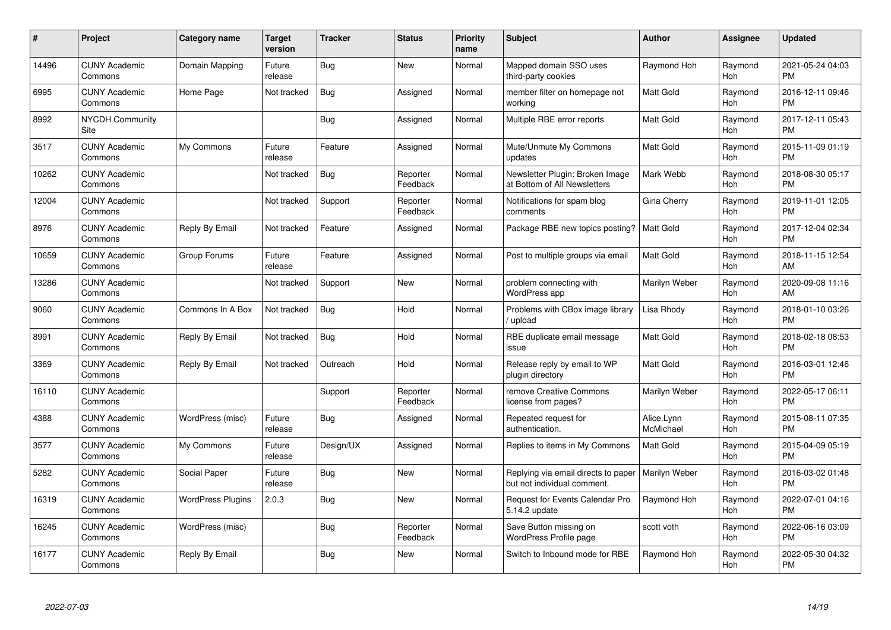| #     | Project                         | <b>Category name</b>     | <b>Target</b><br>version | <b>Tracker</b> | <b>Status</b>        | <b>Priority</b><br>name | <b>Subject</b>                                                     | <b>Author</b>           | <b>Assignee</b>       | <b>Updated</b>                |
|-------|---------------------------------|--------------------------|--------------------------|----------------|----------------------|-------------------------|--------------------------------------------------------------------|-------------------------|-----------------------|-------------------------------|
| 14496 | <b>CUNY Academic</b><br>Commons | Domain Mapping           | Future<br>release        | Bug            | <b>New</b>           | Normal                  | Mapped domain SSO uses<br>third-party cookies                      | Raymond Hoh             | Raymond<br>Hoh        | 2021-05-24 04:03<br><b>PM</b> |
| 6995  | <b>CUNY Academic</b><br>Commons | Home Page                | Not tracked              | Bug            | Assigned             | Normal                  | member filter on homepage not<br>working                           | <b>Matt Gold</b>        | Raymond<br>Hoh        | 2016-12-11 09:46<br><b>PM</b> |
| 8992  | <b>NYCDH Community</b><br>Site  |                          |                          | <b>Bug</b>     | Assigned             | Normal                  | Multiple RBE error reports                                         | <b>Matt Gold</b>        | Raymond<br>Hoh        | 2017-12-11 05:43<br><b>PM</b> |
| 3517  | <b>CUNY Academic</b><br>Commons | My Commons               | Future<br>release        | Feature        | Assigned             | Normal                  | Mute/Unmute My Commons<br>updates                                  | <b>Matt Gold</b>        | Raymond<br>Hoh        | 2015-11-09 01:19<br><b>PM</b> |
| 10262 | <b>CUNY Academic</b><br>Commons |                          | Not tracked              | Bug            | Reporter<br>Feedback | Normal                  | Newsletter Plugin: Broken Image<br>at Bottom of All Newsletters    | Mark Webb               | Raymond<br>Hoh        | 2018-08-30 05:17<br><b>PM</b> |
| 12004 | <b>CUNY Academic</b><br>Commons |                          | Not tracked              | Support        | Reporter<br>Feedback | Normal                  | Notifications for spam blog<br>comments                            | Gina Cherry             | Raymond<br>Hoh        | 2019-11-01 12:05<br><b>PM</b> |
| 8976  | <b>CUNY Academic</b><br>Commons | Reply By Email           | Not tracked              | Feature        | Assigned             | Normal                  | Package RBE new topics posting?                                    | l Matt Gold             | Raymond<br>Hoh        | 2017-12-04 02:34<br><b>PM</b> |
| 10659 | <b>CUNY Academic</b><br>Commons | Group Forums             | Future<br>release        | Feature        | Assigned             | Normal                  | Post to multiple groups via email                                  | <b>Matt Gold</b>        | Raymond<br><b>Hoh</b> | 2018-11-15 12:54<br>AM        |
| 13286 | <b>CUNY Academic</b><br>Commons |                          | Not tracked              | Support        | New                  | Normal                  | problem connecting with<br>WordPress app                           | Marilyn Weber           | Raymond<br>Hoh        | 2020-09-08 11:16<br>AM        |
| 9060  | <b>CUNY Academic</b><br>Commons | Commons In A Box         | Not tracked              | Bug            | Hold                 | Normal                  | Problems with CBox image library<br>/ upload                       | Lisa Rhody              | Raymond<br>Hoh        | 2018-01-10 03:26<br><b>PM</b> |
| 8991  | <b>CUNY Academic</b><br>Commons | Reply By Email           | Not tracked              | Bug            | Hold                 | Normal                  | RBE duplicate email message<br>issue                               | <b>Matt Gold</b>        | Raymond<br>Hoh        | 2018-02-18 08:53<br><b>PM</b> |
| 3369  | <b>CUNY Academic</b><br>Commons | Reply By Email           | Not tracked              | Outreach       | Hold                 | Normal                  | Release reply by email to WP<br>plugin directory                   | <b>Matt Gold</b>        | Raymond<br>Hoh        | 2016-03-01 12:46<br><b>PM</b> |
| 16110 | <b>CUNY Academic</b><br>Commons |                          |                          | Support        | Reporter<br>Feedback | Normal                  | remove Creative Commons<br>license from pages?                     | Marilyn Weber           | Raymond<br>Hoh        | 2022-05-17 06:11<br><b>PM</b> |
| 4388  | <b>CUNY Academic</b><br>Commons | WordPress (misc)         | Future<br>release        | Bug            | Assigned             | Normal                  | Repeated request for<br>authentication.                            | Alice.Lynn<br>McMichael | Raymond<br>Hoh        | 2015-08-11 07:35<br><b>PM</b> |
| 3577  | <b>CUNY Academic</b><br>Commons | My Commons               | Future<br>release        | Design/UX      | Assigned             | Normal                  | Replies to items in My Commons                                     | <b>Matt Gold</b>        | Raymond<br>Hoh        | 2015-04-09 05:19<br><b>PM</b> |
| 5282  | <b>CUNY Academic</b><br>Commons | Social Paper             | Future<br>release        | Bug            | New                  | Normal                  | Replying via email directs to paper<br>but not individual comment. | Marilyn Weber           | Raymond<br>Hoh        | 2016-03-02 01:48<br><b>PM</b> |
| 16319 | <b>CUNY Academic</b><br>Commons | <b>WordPress Plugins</b> | 2.0.3                    | Bug            | New                  | Normal                  | Request for Events Calendar Pro<br>5.14.2 update                   | Raymond Hoh             | Raymond<br>Hoh        | 2022-07-01 04:16<br><b>PM</b> |
| 16245 | <b>CUNY Academic</b><br>Commons | WordPress (misc)         |                          | <b>Bug</b>     | Reporter<br>Feedback | Normal                  | Save Button missing on<br><b>WordPress Profile page</b>            | scott voth              | Raymond<br>Hoh        | 2022-06-16 03:09<br><b>PM</b> |
| 16177 | <b>CUNY Academic</b><br>Commons | Reply By Email           |                          | Bug            | <b>New</b>           | Normal                  | Switch to Inbound mode for RBE                                     | Raymond Hoh             | Raymond<br>Hoh        | 2022-05-30 04:32<br><b>PM</b> |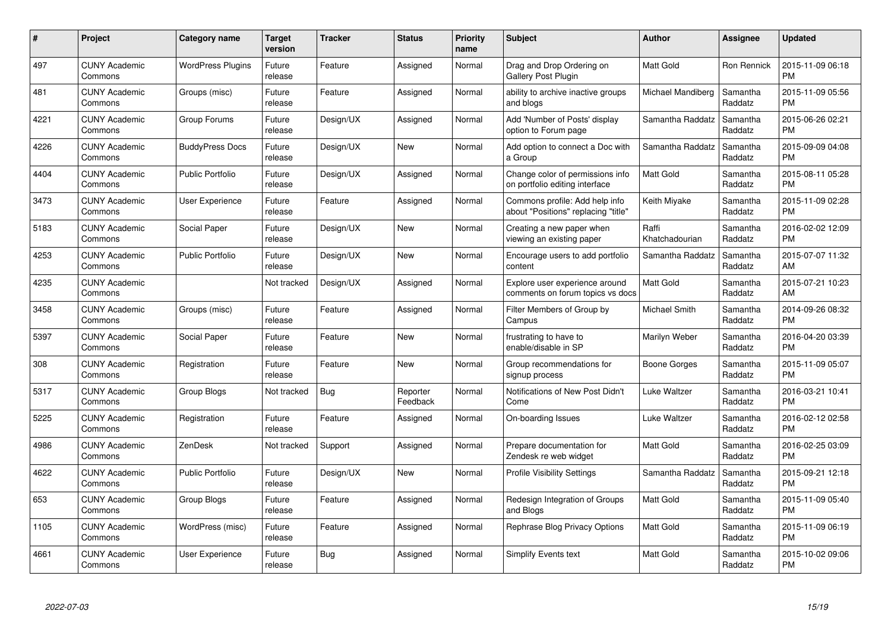| #    | Project                         | <b>Category name</b>     | Target<br>version | <b>Tracker</b> | <b>Status</b>        | <b>Priority</b><br>name | <b>Subject</b>                                                        | <b>Author</b>           | Assignee            | <b>Updated</b>                |
|------|---------------------------------|--------------------------|-------------------|----------------|----------------------|-------------------------|-----------------------------------------------------------------------|-------------------------|---------------------|-------------------------------|
| 497  | <b>CUNY Academic</b><br>Commons | <b>WordPress Plugins</b> | Future<br>release | Feature        | Assigned             | Normal                  | Drag and Drop Ordering on<br>Gallery Post Plugin                      | <b>Matt Gold</b>        | <b>Ron Rennick</b>  | 2015-11-09 06:18<br><b>PM</b> |
| 481  | <b>CUNY Academic</b><br>Commons | Groups (misc)            | Future<br>release | Feature        | Assigned             | Normal                  | ability to archive inactive groups<br>and blogs                       | Michael Mandiberg       | Samantha<br>Raddatz | 2015-11-09 05:56<br><b>PM</b> |
| 4221 | <b>CUNY Academic</b><br>Commons | Group Forums             | Future<br>release | Design/UX      | Assigned             | Normal                  | Add 'Number of Posts' display<br>option to Forum page                 | Samantha Raddatz        | Samantha<br>Raddatz | 2015-06-26 02:21<br><b>PM</b> |
| 4226 | <b>CUNY Academic</b><br>Commons | <b>BuddyPress Docs</b>   | Future<br>release | Design/UX      | <b>New</b>           | Normal                  | Add option to connect a Doc with<br>a Group                           | Samantha Raddatz        | Samantha<br>Raddatz | 2015-09-09 04:08<br><b>PM</b> |
| 4404 | <b>CUNY Academic</b><br>Commons | <b>Public Portfolio</b>  | Future<br>release | Design/UX      | Assigned             | Normal                  | Change color of permissions info<br>on portfolio editing interface    | <b>Matt Gold</b>        | Samantha<br>Raddatz | 2015-08-11 05:28<br><b>PM</b> |
| 3473 | <b>CUNY Academic</b><br>Commons | User Experience          | Future<br>release | Feature        | Assigned             | Normal                  | Commons profile: Add help info<br>about "Positions" replacing "title" | Keith Miyake            | Samantha<br>Raddatz | 2015-11-09 02:28<br><b>PM</b> |
| 5183 | <b>CUNY Academic</b><br>Commons | Social Paper             | Future<br>release | Design/UX      | New                  | Normal                  | Creating a new paper when<br>viewing an existing paper                | Raffi<br>Khatchadourian | Samantha<br>Raddatz | 2016-02-02 12:09<br><b>PM</b> |
| 4253 | <b>CUNY Academic</b><br>Commons | Public Portfolio         | Future<br>release | Design/UX      | <b>New</b>           | Normal                  | Encourage users to add portfolio<br>content                           | Samantha Raddatz        | Samantha<br>Raddatz | 2015-07-07 11:32<br>AM        |
| 4235 | <b>CUNY Academic</b><br>Commons |                          | Not tracked       | Design/UX      | Assigned             | Normal                  | Explore user experience around<br>comments on forum topics vs docs    | <b>Matt Gold</b>        | Samantha<br>Raddatz | 2015-07-21 10:23<br>AM        |
| 3458 | <b>CUNY Academic</b><br>Commons | Groups (misc)            | Future<br>release | Feature        | Assigned             | Normal                  | Filter Members of Group by<br>Campus                                  | Michael Smith           | Samantha<br>Raddatz | 2014-09-26 08:32<br><b>PM</b> |
| 5397 | <b>CUNY Academic</b><br>Commons | Social Paper             | Future<br>release | Feature        | New                  | Normal                  | frustrating to have to<br>enable/disable in SP                        | Marilyn Weber           | Samantha<br>Raddatz | 2016-04-20 03:39<br><b>PM</b> |
| 308  | <b>CUNY Academic</b><br>Commons | Registration             | Future<br>release | Feature        | <b>New</b>           | Normal                  | Group recommendations for<br>signup process                           | Boone Gorges            | Samantha<br>Raddatz | 2015-11-09 05:07<br><b>PM</b> |
| 5317 | <b>CUNY Academic</b><br>Commons | Group Blogs              | Not tracked       | Bug            | Reporter<br>Feedback | Normal                  | Notifications of New Post Didn't<br>Come                              | Luke Waltzer            | Samantha<br>Raddatz | 2016-03-21 10:41<br><b>PM</b> |
| 5225 | <b>CUNY Academic</b><br>Commons | Registration             | Future<br>release | Feature        | Assigned             | Normal                  | On-boarding Issues                                                    | Luke Waltzer            | Samantha<br>Raddatz | 2016-02-12 02:58<br><b>PM</b> |
| 4986 | <b>CUNY Academic</b><br>Commons | ZenDesk                  | Not tracked       | Support        | Assigned             | Normal                  | Prepare documentation for<br>Zendesk re web widget                    | Matt Gold               | Samantha<br>Raddatz | 2016-02-25 03:09<br><b>PM</b> |
| 4622 | <b>CUNY Academic</b><br>Commons | <b>Public Portfolio</b>  | Future<br>release | Design/UX      | <b>New</b>           | Normal                  | <b>Profile Visibility Settings</b>                                    | Samantha Raddatz        | Samantha<br>Raddatz | 2015-09-21 12:18<br><b>PM</b> |
| 653  | <b>CUNY Academic</b><br>Commons | Group Blogs              | Future<br>release | Feature        | Assigned             | Normal                  | Redesign Integration of Groups<br>and Blogs                           | Matt Gold               | Samantha<br>Raddatz | 2015-11-09 05:40<br><b>PM</b> |
| 1105 | <b>CUNY Academic</b><br>Commons | WordPress (misc)         | Future<br>release | Feature        | Assigned             | Normal                  | Rephrase Blog Privacy Options                                         | Matt Gold               | Samantha<br>Raddatz | 2015-11-09 06:19<br><b>PM</b> |
| 4661 | <b>CUNY Academic</b><br>Commons | User Experience          | Future<br>release | Bug            | Assigned             | Normal                  | <b>Simplify Events text</b>                                           | Matt Gold               | Samantha<br>Raddatz | 2015-10-02 09:06<br><b>PM</b> |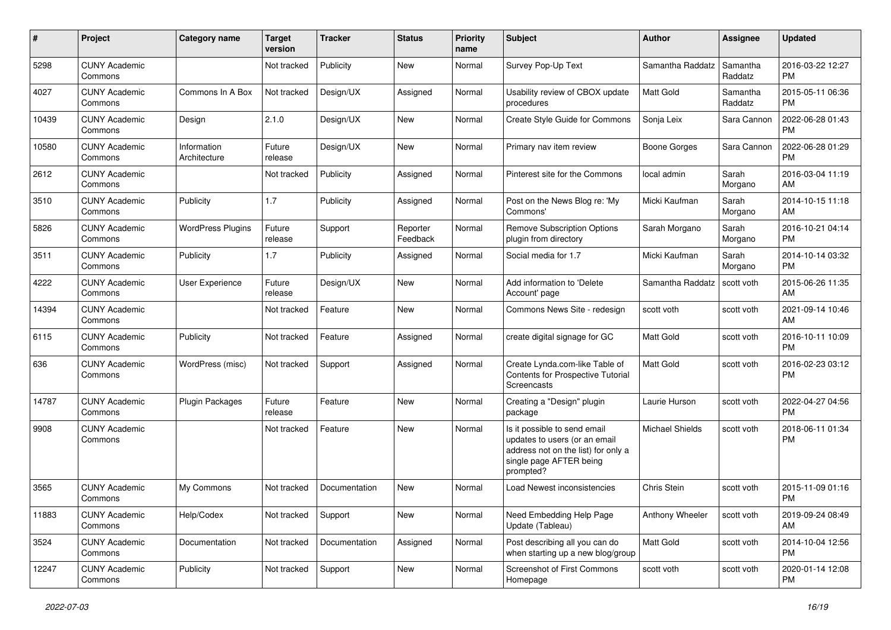| #     | Project                         | <b>Category name</b>        | <b>Target</b><br>version | <b>Tracker</b> | <b>Status</b>        | Priority<br>name | <b>Subject</b>                                                                                                                               | <b>Author</b>          | <b>Assignee</b>     | <b>Updated</b>                |
|-------|---------------------------------|-----------------------------|--------------------------|----------------|----------------------|------------------|----------------------------------------------------------------------------------------------------------------------------------------------|------------------------|---------------------|-------------------------------|
| 5298  | <b>CUNY Academic</b><br>Commons |                             | Not tracked              | Publicity      | <b>New</b>           | Normal           | Survey Pop-Up Text                                                                                                                           | Samantha Raddatz       | Samantha<br>Raddatz | 2016-03-22 12:27<br><b>PM</b> |
| 4027  | <b>CUNY Academic</b><br>Commons | Commons In A Box            | Not tracked              | Design/UX      | Assigned             | Normal           | Usability review of CBOX update<br>procedures                                                                                                | <b>Matt Gold</b>       | Samantha<br>Raddatz | 2015-05-11 06:36<br><b>PM</b> |
| 10439 | <b>CUNY Academic</b><br>Commons | Design                      | 2.1.0                    | Design/UX      | New                  | Normal           | Create Style Guide for Commons                                                                                                               | Sonja Leix             | Sara Cannon         | 2022-06-28 01:43<br><b>PM</b> |
| 10580 | <b>CUNY Academic</b><br>Commons | Information<br>Architecture | Future<br>release        | Design/UX      | <b>New</b>           | Normal           | Primary nav item review                                                                                                                      | Boone Gorges           | Sara Cannon         | 2022-06-28 01:29<br><b>PM</b> |
| 2612  | <b>CUNY Academic</b><br>Commons |                             | Not tracked              | Publicity      | Assigned             | Normal           | Pinterest site for the Commons                                                                                                               | local admin            | Sarah<br>Morgano    | 2016-03-04 11:19<br>AM        |
| 3510  | <b>CUNY Academic</b><br>Commons | Publicity                   | 1.7                      | Publicity      | Assigned             | Normal           | Post on the News Blog re: 'My<br>Commons'                                                                                                    | Micki Kaufman          | Sarah<br>Morgano    | 2014-10-15 11:18<br>AM        |
| 5826  | <b>CUNY Academic</b><br>Commons | <b>WordPress Plugins</b>    | Future<br>release        | Support        | Reporter<br>Feedback | Normal           | <b>Remove Subscription Options</b><br>plugin from directory                                                                                  | Sarah Morgano          | Sarah<br>Morgano    | 2016-10-21 04:14<br><b>PM</b> |
| 3511  | <b>CUNY Academic</b><br>Commons | Publicity                   | 1.7                      | Publicity      | Assigned             | Normal           | Social media for 1.7                                                                                                                         | Micki Kaufman          | Sarah<br>Morgano    | 2014-10-14 03:32<br><b>PM</b> |
| 4222  | <b>CUNY Academic</b><br>Commons | User Experience             | Future<br>release        | Design/UX      | New                  | Normal           | Add information to 'Delete<br>Account' page                                                                                                  | Samantha Raddatz       | scott voth          | 2015-06-26 11:35<br>AM        |
| 14394 | <b>CUNY Academic</b><br>Commons |                             | Not tracked              | Feature        | <b>New</b>           | Normal           | Commons News Site - redesign                                                                                                                 | scott voth             | scott voth          | 2021-09-14 10:46<br>AM        |
| 6115  | <b>CUNY Academic</b><br>Commons | Publicity                   | Not tracked              | Feature        | Assigned             | Normal           | create digital signage for GC                                                                                                                | <b>Matt Gold</b>       | scott voth          | 2016-10-11 10:09<br><b>PM</b> |
| 636   | <b>CUNY Academic</b><br>Commons | WordPress (misc)            | Not tracked              | Support        | Assigned             | Normal           | Create Lynda.com-like Table of<br>Contents for Prospective Tutorial<br>Screencasts                                                           | <b>Matt Gold</b>       | scott voth          | 2016-02-23 03:12<br><b>PM</b> |
| 14787 | <b>CUNY Academic</b><br>Commons | Plugin Packages             | Future<br>release        | Feature        | <b>New</b>           | Normal           | Creating a "Design" plugin<br>package                                                                                                        | Laurie Hurson          | scott voth          | 2022-04-27 04:56<br><b>PM</b> |
| 9908  | <b>CUNY Academic</b><br>Commons |                             | Not tracked              | Feature        | New                  | Normal           | Is it possible to send email<br>updates to users (or an email<br>address not on the list) for only a<br>single page AFTER being<br>prompted? | <b>Michael Shields</b> | scott voth          | 2018-06-11 01:34<br><b>PM</b> |
| 3565  | <b>CUNY Academic</b><br>Commons | My Commons                  | Not tracked              | Documentation  | <b>New</b>           | Normal           | Load Newest inconsistencies                                                                                                                  | Chris Stein            | scott voth          | 2015-11-09 01:16<br><b>PM</b> |
| 11883 | <b>CUNY Academic</b><br>Commons | Help/Codex                  | Not tracked              | Support        | New                  | Normal           | Need Embedding Help Page<br>Update (Tableau)                                                                                                 | Anthony Wheeler        | scott voth          | 2019-09-24 08:49<br>AM        |
| 3524  | <b>CUNY Academic</b><br>Commons | Documentation               | Not tracked              | Documentation  | Assigned             | Normal           | Post describing all you can do<br>when starting up a new blog/group                                                                          | Matt Gold              | scott voth          | 2014-10-04 12:56<br><b>PM</b> |
| 12247 | <b>CUNY Academic</b><br>Commons | Publicity                   | Not tracked              | Support        | New                  | Normal           | Screenshot of First Commons<br>Homepage                                                                                                      | scott voth             | scott voth          | 2020-01-14 12:08<br>PM        |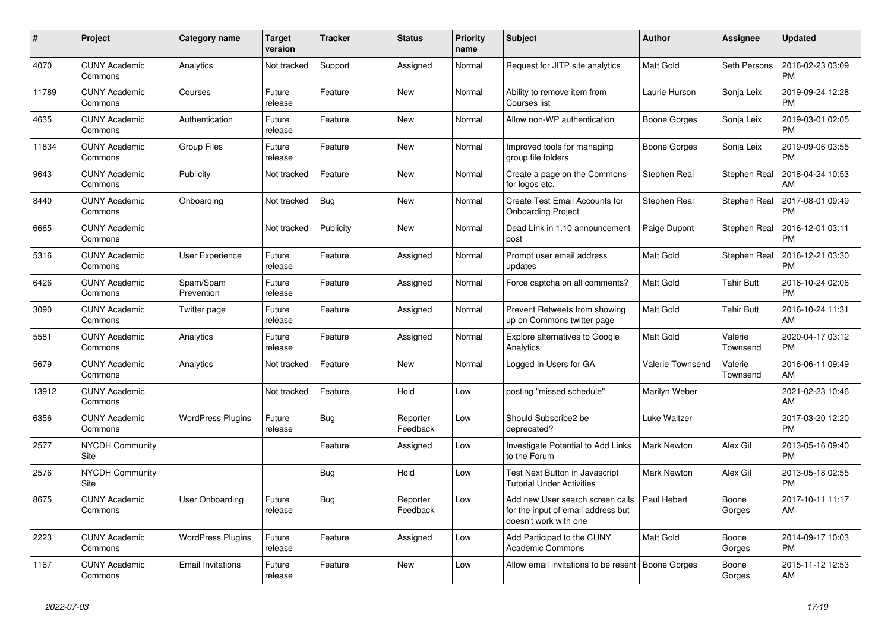| $\#$  | Project                         | <b>Category name</b>     | <b>Target</b><br>version | <b>Tracker</b> | <b>Status</b>        | <b>Priority</b><br>name | <b>Subject</b>                                                                                  | <b>Author</b>      | Assignee            | <b>Updated</b>                |
|-------|---------------------------------|--------------------------|--------------------------|----------------|----------------------|-------------------------|-------------------------------------------------------------------------------------------------|--------------------|---------------------|-------------------------------|
| 4070  | <b>CUNY Academic</b><br>Commons | Analytics                | Not tracked              | Support        | Assigned             | Normal                  | Request for JITP site analytics                                                                 | <b>Matt Gold</b>   | Seth Persons        | 2016-02-23 03:09<br><b>PM</b> |
| 11789 | <b>CUNY Academic</b><br>Commons | Courses                  | Future<br>release        | Feature        | <b>New</b>           | Normal                  | Ability to remove item from<br>Courses list                                                     | Laurie Hurson      | Sonja Leix          | 2019-09-24 12:28<br><b>PM</b> |
| 4635  | <b>CUNY Academic</b><br>Commons | Authentication           | Future<br>release        | Feature        | New                  | Normal                  | Allow non-WP authentication                                                                     | Boone Gorges       | Sonja Leix          | 2019-03-01 02:05<br><b>PM</b> |
| 11834 | <b>CUNY Academic</b><br>Commons | <b>Group Files</b>       | Future<br>release        | Feature        | <b>New</b>           | Normal                  | Improved tools for managing<br>group file folders                                               | Boone Gorges       | Sonja Leix          | 2019-09-06 03:55<br><b>PM</b> |
| 9643  | <b>CUNY Academic</b><br>Commons | Publicity                | Not tracked              | Feature        | <b>New</b>           | Normal                  | Create a page on the Commons<br>for logos etc.                                                  | Stephen Real       | Stephen Real        | 2018-04-24 10:53<br>AM        |
| 8440  | <b>CUNY Academic</b><br>Commons | Onboarding               | Not tracked              | Bug            | New                  | Normal                  | Create Test Email Accounts for<br><b>Onboarding Project</b>                                     | Stephen Real       | Stephen Real        | 2017-08-01 09:49<br><b>PM</b> |
| 6665  | <b>CUNY Academic</b><br>Commons |                          | Not tracked              | Publicity      | New                  | Normal                  | Dead Link in 1.10 announcement<br>post                                                          | Paige Dupont       | Stephen Real        | 2016-12-01 03:11<br><b>PM</b> |
| 5316  | <b>CUNY Academic</b><br>Commons | User Experience          | Future<br>release        | Feature        | Assigned             | Normal                  | Prompt user email address<br>updates                                                            | <b>Matt Gold</b>   | Stephen Real        | 2016-12-21 03:30<br><b>PM</b> |
| 6426  | <b>CUNY Academic</b><br>Commons | Spam/Spam<br>Prevention  | Future<br>release        | Feature        | Assigned             | Normal                  | Force captcha on all comments?                                                                  | Matt Gold          | <b>Tahir Butt</b>   | 2016-10-24 02:06<br><b>PM</b> |
| 3090  | <b>CUNY Academic</b><br>Commons | Twitter page             | Future<br>release        | Feature        | Assigned             | Normal                  | Prevent Retweets from showing<br>up on Commons twitter page                                     | Matt Gold          | <b>Tahir Butt</b>   | 2016-10-24 11:31<br>AM        |
| 5581  | <b>CUNY Academic</b><br>Commons | Analytics                | Future<br>release        | Feature        | Assigned             | Normal                  | Explore alternatives to Google<br>Analytics                                                     | <b>Matt Gold</b>   | Valerie<br>Townsend | 2020-04-17 03:12<br><b>PM</b> |
| 5679  | <b>CUNY Academic</b><br>Commons | Analytics                | Not tracked              | Feature        | <b>New</b>           | Normal                  | Logged In Users for GA                                                                          | Valerie Townsend   | Valerie<br>Townsend | 2016-06-11 09:49<br>AM        |
| 13912 | <b>CUNY Academic</b><br>Commons |                          | Not tracked              | Feature        | Hold                 | Low                     | posting "missed schedule"                                                                       | Marilyn Weber      |                     | 2021-02-23 10:46<br>AM        |
| 6356  | <b>CUNY Academic</b><br>Commons | <b>WordPress Plugins</b> | Future<br>release        | Bug            | Reporter<br>Feedback | Low                     | Should Subscribe2 be<br>deprecated?                                                             | Luke Waltzer       |                     | 2017-03-20 12:20<br><b>PM</b> |
| 2577  | <b>NYCDH Community</b><br>Site  |                          |                          | Feature        | Assigned             | Low                     | Investigate Potential to Add Links<br>to the Forum                                              | <b>Mark Newton</b> | Alex Gil            | 2013-05-16 09:40<br><b>PM</b> |
| 2576  | <b>NYCDH Community</b><br>Site  |                          |                          | <b>Bug</b>     | Hold                 | Low                     | Test Next Button in Javascript<br><b>Tutorial Under Activities</b>                              | <b>Mark Newton</b> | Alex Gil            | 2013-05-18 02:55<br><b>PM</b> |
| 8675  | <b>CUNY Academic</b><br>Commons | User Onboarding          | Future<br>release        | <b>Bug</b>     | Reporter<br>Feedback | Low                     | Add new User search screen calls<br>for the input of email address but<br>doesn't work with one | Paul Hebert        | Boone<br>Gorges     | 2017-10-11 11:17<br>AM        |
| 2223  | <b>CUNY Academic</b><br>Commons | <b>WordPress Plugins</b> | Future<br>release        | Feature        | Assigned             | Low                     | Add Participad to the CUNY<br><b>Academic Commons</b>                                           | Matt Gold          | Boone<br>Gorges     | 2014-09-17 10:03<br><b>PM</b> |
| 1167  | <b>CUNY Academic</b><br>Commons | <b>Email Invitations</b> | Future<br>release        | Feature        | <b>New</b>           | Low                     | Allow email invitations to be resent   Boone Gorges                                             |                    | Boone<br>Gorges     | 2015-11-12 12:53<br>AM        |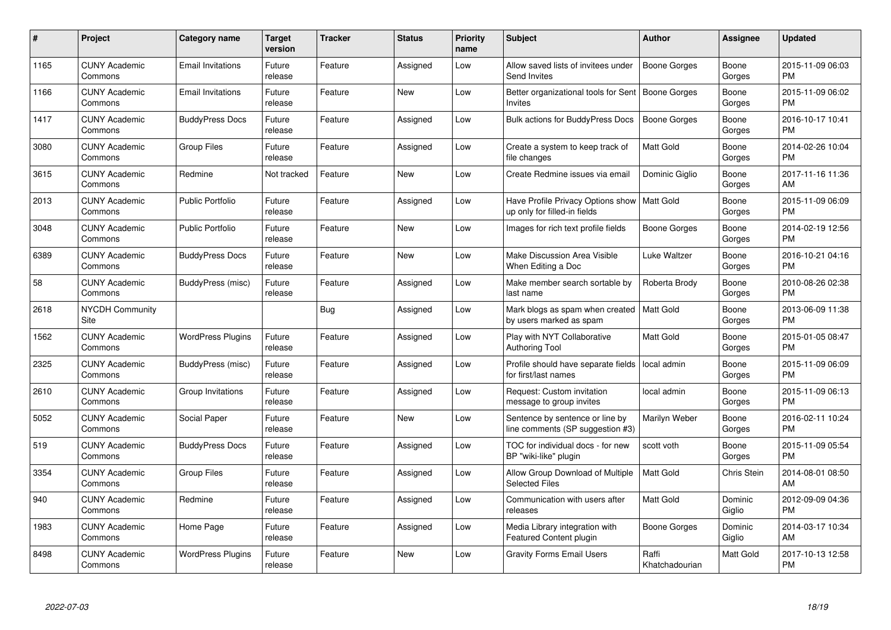| $\pmb{\#}$ | Project                         | <b>Category name</b>     | <b>Target</b><br>version | <b>Tracker</b> | <b>Status</b> | <b>Priority</b><br>name | <b>Subject</b>                                                      | <b>Author</b>           | Assignee          | <b>Updated</b>                |
|------------|---------------------------------|--------------------------|--------------------------|----------------|---------------|-------------------------|---------------------------------------------------------------------|-------------------------|-------------------|-------------------------------|
| 1165       | <b>CUNY Academic</b><br>Commons | <b>Email Invitations</b> | Future<br>release        | Feature        | Assigned      | Low                     | Allow saved lists of invitees under<br>Send Invites                 | <b>Boone Gorges</b>     | Boone<br>Gorges   | 2015-11-09 06:03<br><b>PM</b> |
| 1166       | <b>CUNY Academic</b><br>Commons | <b>Email Invitations</b> | Future<br>release        | Feature        | <b>New</b>    | Low                     | Better organizational tools for Sent<br>Invites                     | Boone Gorges            | Boone<br>Gorges   | 2015-11-09 06:02<br><b>PM</b> |
| 1417       | <b>CUNY Academic</b><br>Commons | <b>BuddyPress Docs</b>   | Future<br>release        | Feature        | Assigned      | Low                     | Bulk actions for BuddyPress Docs                                    | Boone Gorges            | Boone<br>Gorges   | 2016-10-17 10:41<br><b>PM</b> |
| 3080       | <b>CUNY Academic</b><br>Commons | Group Files              | Future<br>release        | Feature        | Assigned      | Low                     | Create a system to keep track of<br>file changes                    | <b>Matt Gold</b>        | Boone<br>Gorges   | 2014-02-26 10:04<br><b>PM</b> |
| 3615       | <b>CUNY Academic</b><br>Commons | Redmine                  | Not tracked              | Feature        | <b>New</b>    | Low                     | Create Redmine issues via email                                     | Dominic Giglio          | Boone<br>Gorges   | 2017-11-16 11:36<br>AM        |
| 2013       | <b>CUNY Academic</b><br>Commons | <b>Public Portfolio</b>  | Future<br>release        | Feature        | Assigned      | Low                     | Have Profile Privacy Options show<br>up only for filled-in fields   | Matt Gold               | Boone<br>Gorges   | 2015-11-09 06:09<br><b>PM</b> |
| 3048       | <b>CUNY Academic</b><br>Commons | <b>Public Portfolio</b>  | Future<br>release        | Feature        | <b>New</b>    | Low                     | Images for rich text profile fields                                 | <b>Boone Gorges</b>     | Boone<br>Gorges   | 2014-02-19 12:56<br><b>PM</b> |
| 6389       | <b>CUNY Academic</b><br>Commons | <b>BuddyPress Docs</b>   | Future<br>release        | Feature        | <b>New</b>    | Low                     | Make Discussion Area Visible<br>When Editing a Doc                  | Luke Waltzer            | Boone<br>Gorges   | 2016-10-21 04:16<br><b>PM</b> |
| 58         | <b>CUNY Academic</b><br>Commons | BuddyPress (misc)        | Future<br>release        | Feature        | Assigned      | Low                     | Make member search sortable by<br>last name                         | Roberta Brody           | Boone<br>Gorges   | 2010-08-26 02:38<br><b>PM</b> |
| 2618       | <b>NYCDH Community</b><br>Site  |                          |                          | <b>Bug</b>     | Assigned      | Low                     | Mark blogs as spam when created<br>by users marked as spam          | l Matt Gold             | Boone<br>Gorges   | 2013-06-09 11:38<br>PM        |
| 1562       | <b>CUNY Academic</b><br>Commons | <b>WordPress Plugins</b> | Future<br>release        | Feature        | Assigned      | Low                     | Play with NYT Collaborative<br>Authoring Tool                       | <b>Matt Gold</b>        | Boone<br>Gorges   | 2015-01-05 08:47<br><b>PM</b> |
| 2325       | <b>CUNY Academic</b><br>Commons | BuddyPress (misc)        | Future<br>release        | Feature        | Assigned      | Low                     | Profile should have separate fields<br>for first/last names         | local admin             | Boone<br>Gorges   | 2015-11-09 06:09<br><b>PM</b> |
| 2610       | <b>CUNY Academic</b><br>Commons | Group Invitations        | Future<br>release        | Feature        | Assigned      | Low                     | Request: Custom invitation<br>message to group invites              | local admin             | Boone<br>Gorges   | 2015-11-09 06:13<br>PM        |
| 5052       | <b>CUNY Academic</b><br>Commons | Social Paper             | Future<br>release        | Feature        | New           | Low                     | Sentence by sentence or line by<br>line comments (SP suggestion #3) | Marilyn Weber           | Boone<br>Gorges   | 2016-02-11 10:24<br><b>PM</b> |
| 519        | <b>CUNY Academic</b><br>Commons | <b>BuddyPress Docs</b>   | Future<br>release        | Feature        | Assigned      | Low                     | TOC for individual docs - for new<br>BP "wiki-like" plugin          | scott voth              | Boone<br>Gorges   | 2015-11-09 05:54<br><b>PM</b> |
| 3354       | <b>CUNY Academic</b><br>Commons | <b>Group Files</b>       | Future<br>release        | Feature        | Assigned      | Low                     | Allow Group Download of Multiple<br><b>Selected Files</b>           | <b>Matt Gold</b>        | Chris Stein       | 2014-08-01 08:50<br>AM        |
| 940        | <b>CUNY Academic</b><br>Commons | Redmine                  | Future<br>release        | Feature        | Assigned      | Low                     | Communication with users after<br>releases                          | <b>Matt Gold</b>        | Dominic<br>Giglio | 2012-09-09 04:36<br><b>PM</b> |
| 1983       | <b>CUNY Academic</b><br>Commons | Home Page                | Future<br>release        | Feature        | Assigned      | Low                     | Media Library integration with<br><b>Featured Content plugin</b>    | Boone Gorges            | Dominic<br>Giglio | 2014-03-17 10:34<br>AM        |
| 8498       | <b>CUNY Academic</b><br>Commons | <b>WordPress Plugins</b> | Future<br>release        | Feature        | <b>New</b>    | Low                     | <b>Gravity Forms Email Users</b>                                    | Raffi<br>Khatchadourian | Matt Gold         | 2017-10-13 12:58<br>PM        |